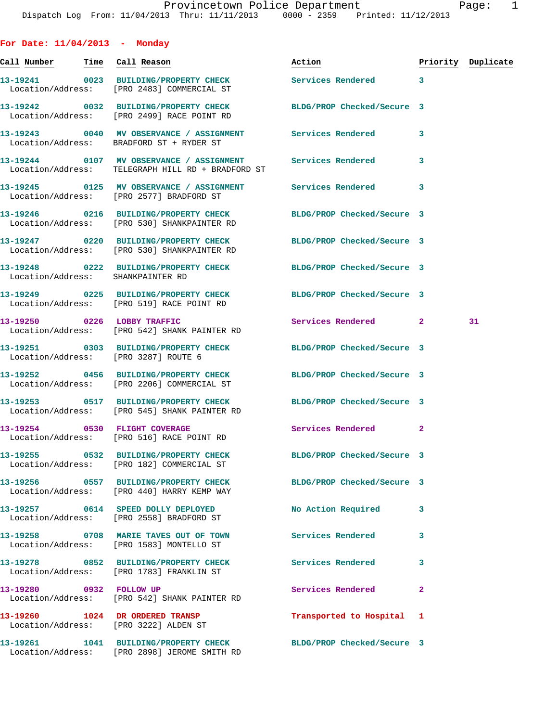| For Date: $11/04/2013$ - Monday       |                                                                                                                  |                            |              |                    |
|---------------------------------------|------------------------------------------------------------------------------------------------------------------|----------------------------|--------------|--------------------|
| <u>Call Number — Time Call Reason</u> |                                                                                                                  | Action                     |              | Priority Duplicate |
|                                       | 13-19241 0023 BUILDING/PROPERTY CHECK Services Rendered 3<br>Location/Address: [PRO 2483] COMMERCIAL ST          |                            |              |                    |
|                                       | 13-19242 0032 BUILDING/PROPERTY CHECK BLDG/PROP Checked/Secure 3<br>Location/Address: [PRO 2499] RACE POINT RD   |                            |              |                    |
|                                       | 13-19243 0040 MV OBSERVANCE / ASSIGNMENT Services Rendered<br>Location/Address: BRADFORD ST + RYDER ST           |                            | 3            |                    |
|                                       | 13-19244 0107 MV OBSERVANCE / ASSIGNMENT Services Rendered<br>Location/Address: TELEGRAPH HILL RD + BRADFORD ST  |                            | 3            |                    |
|                                       | 13-19245 0125 MV OBSERVANCE / ASSIGNMENT Services Rendered 3<br>Location/Address: [PRO 2577] BRADFORD ST         |                            |              |                    |
|                                       | 13-19246 0216 BUILDING/PROPERTY CHECK BLDG/PROP Checked/Secure 3<br>Location/Address: [PRO 530] SHANKPAINTER RD  |                            |              |                    |
|                                       | 13-19247 0220 BUILDING/PROPERTY CHECK BLDG/PROP Checked/Secure 3<br>Location/Address: [PRO 530] SHANKPAINTER RD  |                            |              |                    |
| Location/Address: SHANKPAINTER RD     | 13-19248 0222 BUILDING/PROPERTY CHECK BLDG/PROP Checked/Secure 3                                                 |                            |              |                    |
|                                       | 13-19249 0225 BUILDING/PROPERTY CHECK BLDG/PROP Checked/Secure 3<br>Location/Address: [PRO 519] RACE POINT RD    |                            |              |                    |
|                                       | 13-19250 0226 LOBBY TRAFFIC<br>Location/Address: [PRO 542] SHANK PAINTER RD                                      | Services Rendered 2        |              | 31                 |
|                                       | 13-19251 0303 BUILDING/PROPERTY CHECK BLDG/PROP Checked/Secure 3<br>Location/Address: [PRO 3287] ROUTE 6         |                            |              |                    |
|                                       | 13-19252 0456 BUILDING/PROPERTY CHECK BLDG/PROP Checked/Secure 3<br>Location/Address: [PRO 2206] COMMERCIAL ST   |                            |              |                    |
|                                       | 13-19253 0517 BUILDING/PROPERTY CHECK<br>Location/Address: [PRO 545] SHANK PAINTER RD                            | BLDG/PROP Checked/Secure 3 |              |                    |
|                                       | 13-19254 0530 FLIGHT COVERAGE<br>Location/Address: [PRO 516] RACE POINT RD                                       | <b>Services Rendered</b> 2 |              |                    |
|                                       | 13-19255 0532 BUILDING/PROPERTY CHECK BLDG/PROP Checked/Secure 3<br>Location/Address: [PRO 182] COMMERCIAL ST    |                            |              |                    |
|                                       | 13-19256 0557 BUILDING/PROPERTY CHECK BLDG/PROP Checked/Secure 3<br>Location/Address: [PRO 440] HARRY KEMP WAY   |                            |              |                    |
|                                       | 13-19257 0614 SPEED DOLLY DEPLOYED<br>Location/Address: [PRO 2558] BRADFORD ST                                   | No Action Required         | 3            |                    |
|                                       | 13-19258 0708 MARIE TAVES OUT OF TOWN<br>Location/Address: [PRO 1583] MONTELLO ST                                | Services Rendered          | 3            |                    |
|                                       | 13-19278 0852 BUILDING/PROPERTY CHECK<br>Location/Address: [PRO 1783] FRANKLIN ST                                | Services Rendered          | 3            |                    |
|                                       | 13-19280 0932 FOLLOW UP<br>Location/Address: [PRO 542] SHANK PAINTER RD                                          | Services Rendered          | $\mathbf{2}$ |                    |
|                                       | 13-19260 1024 DR ORDERED TRANSP<br>Location/Address: [PRO 3222] ALDEN ST                                         | Transported to Hospital    | 1            |                    |
|                                       | 13-19261 1041 BUILDING/PROPERTY CHECK BLDG/PROP Checked/Secure 3<br>Location/Address: [PRO 2898] JEROME SMITH RD |                            |              |                    |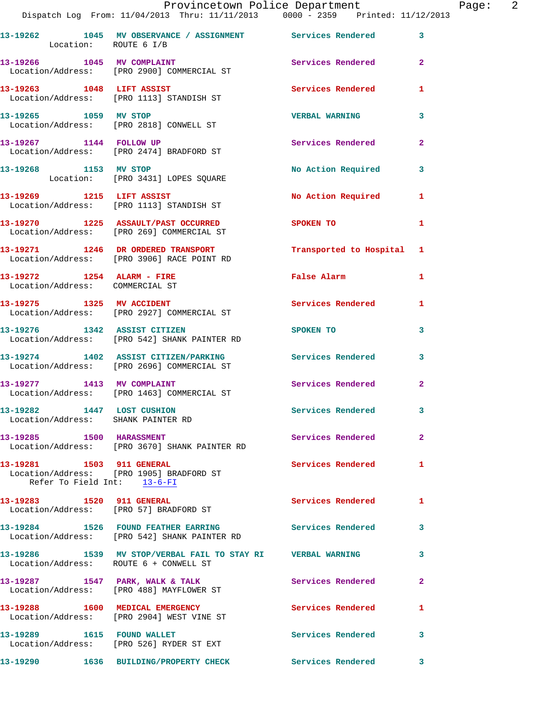|                                                                  | Provincetown Police Department<br>Dispatch Log From: 11/04/2013 Thru: 11/11/2013 0000 - 2359 Printed: 11/12/2013 |                                      |                | Page: 2 |  |
|------------------------------------------------------------------|------------------------------------------------------------------------------------------------------------------|--------------------------------------|----------------|---------|--|
| Location: ROUTE 6 I/B                                            | 13-19262 1045 MV OBSERVANCE / ASSIGNMENT Services Rendered 3                                                     |                                      |                |         |  |
|                                                                  | 13-19266 1045 MV COMPLAINT Services Rendered 2<br>Location/Address: [PRO 2900] COMMERCIAL ST                     |                                      |                |         |  |
|                                                                  | 13-19263 1048 LIFT ASSIST<br>Location/Address: [PRO 1113] STANDISH ST                                            | Services Rendered                    | $\mathbf{1}$   |         |  |
|                                                                  | 13-19265 1059 MV STOP<br>Location/Address: [PRO 2818] CONWELL ST                                                 | <b>VERBAL WARNING</b>                | 3              |         |  |
|                                                                  | 13-19267 1144 FOLLOW UP<br>Location/Address: [PRO 2474] BRADFORD ST                                              | Services Rendered 2                  |                |         |  |
|                                                                  | 13-19268 1153 MV STOP<br>Location: [PRO 3431] LOPES SQUARE                                                       | No Action Required 3                 |                |         |  |
|                                                                  | 13-19269 1215 LIFT ASSIST<br>Location/Address: [PRO 1113] STANDISH ST                                            | No Action Required 1                 |                |         |  |
|                                                                  | 13-19270 1225 ASSAULT/PAST OCCURRED SPOKEN TO<br>Location/Address: [PRO 269] COMMERCIAL ST                       |                                      | 1              |         |  |
|                                                                  | 13-19271 1246 DR ORDERED TRANSPORT<br>Location/Address: [PRO 3906] RACE POINT RD                                 | Transported to Hospital 1            |                |         |  |
| Location/Address: COMMERCIAL ST                                  | 13-19272 1254 ALARM - FIRE                                                                                       | False Alarm                          | $\mathbf{1}$   |         |  |
|                                                                  |                                                                                                                  | Services Rendered 1                  |                |         |  |
|                                                                  | 13-19276 1342 ASSIST CITIZEN<br>Location/Address: [PRO 542] SHANK PAINTER RD                                     | SPOKEN TO THE STATE OF THE SPOKEN TO | 3              |         |  |
|                                                                  | 13-19274 1402 ASSIST CITIZEN/PARKING Services Rendered 3<br>Location/Address: [PRO 2696] COMMERCIAL ST           |                                      |                |         |  |
|                                                                  | 13-19277 1413 MV COMPLAINT<br>Location/Address: [PRO 1463] COMMERCIAL ST                                         | Services Rendered 2                  |                |         |  |
| 13-19282 1447 LOST CUSHION<br>Location/Address: SHANK PAINTER RD |                                                                                                                  | Services Rendered                    |                |         |  |
|                                                                  | 13-19285 1500 HARASSMENT<br>Location/Address: [PRO 3670] SHANK PAINTER RD                                        | Services Rendered                    | $\overline{a}$ |         |  |
| 13-19281 1503 911 GENERAL<br>Refer To Field Int: 13-6-FI         | Location/Address: [PRO 1905] BRADFORD ST                                                                         | <b>Services Rendered</b>             | $\mathbf{1}$   |         |  |
|                                                                  | 13-19283 1520 911 GENERAL<br>Location/Address: [PRO 57] BRADFORD ST                                              | Services Rendered                    | 1              |         |  |
|                                                                  | 13-19284 1526 FOUND FEATHER EARRING Services Rendered 3<br>Location/Address: [PRO 542] SHANK PAINTER RD          |                                      |                |         |  |
|                                                                  | 13-19286 1539 MV STOP/VERBAL FAIL TO STAY RI VERBAL WARNING<br>Location/Address: ROUTE 6 + CONWELL ST            |                                      | 3              |         |  |
|                                                                  | 13-19287 1547 PARK, WALK & TALK<br>Location/Address: [PRO 488] MAYFLOWER ST                                      | Services Rendered                    | $\overline{2}$ |         |  |
|                                                                  | 13-19288 1600 MEDICAL EMERGENCY<br>Location/Address: [PRO 2904] WEST VINE ST                                     | <b>Services Rendered</b>             | 1              |         |  |
|                                                                  | 13-19289 1615 FOUND WALLET<br>Location/Address: [PRO 526] RYDER ST EXT                                           | Services Rendered                    | 3              |         |  |
|                                                                  | 13-19290 1636 BUILDING/PROPERTY CHECK Services Rendered 3                                                        |                                      |                |         |  |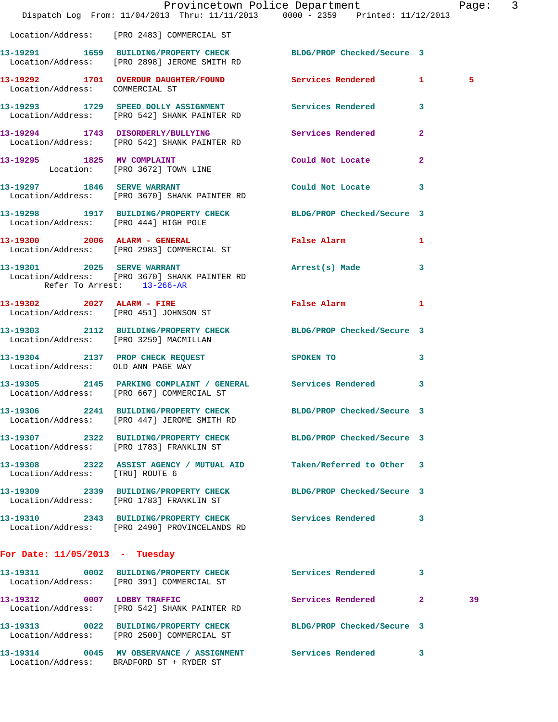|                                    | Dispatch Log From: 11/04/2013 Thru: 11/11/2013 0000 - 2359 Printed: 11/12/2013                                   | Provincetown Police Department Page: 3 |              |    |  |
|------------------------------------|------------------------------------------------------------------------------------------------------------------|----------------------------------------|--------------|----|--|
|                                    | Location/Address: [PRO 2483] COMMERCIAL ST                                                                       |                                        |              |    |  |
|                                    | 13-19291 1659 BUILDING/PROPERTY CHECK BLDG/PROP Checked/Secure 3<br>Location/Address: [PRO 2898] JEROME SMITH RD |                                        |              |    |  |
| Location/Address: COMMERCIAL ST    | 13-19292 1701 OVERDUR DAUGHTER/FOUND Services Rendered 1                                                         |                                        |              | 5  |  |
|                                    | 13-19293 1729 SPEED DOLLY ASSIGNMENT Services Rendered 3<br>Location/Address: [PRO 542] SHANK PAINTER RD         |                                        |              |    |  |
|                                    | 13-19294 1743 DISORDERLY/BULLYING Services Rendered<br>Location/Address: [PRO 542] SHANK PAINTER RD              |                                        | $\mathbf{2}$ |    |  |
|                                    | 13-19295 1825 MV COMPLAINT Could Not Locate<br>Location: [PRO 3672] TOWN LINE                                    |                                        | $\mathbf{2}$ |    |  |
|                                    | 13-19297 1846 SERVE WARRANT<br>Location/Address: [PRO 3670] SHANK PAINTER RD                                     | Could Not Locate 3                     |              |    |  |
|                                    | 13-19298 1917 BUILDING/PROPERTY CHECK BLDG/PROP Checked/Secure 3<br>Location/Address: [PRO 444] HIGH POLE        |                                        |              |    |  |
|                                    | 13-19300 2006 ALARM - GENERAL<br>Location/Address: [PRO 2983] COMMERCIAL ST                                      | False Alarm 1                          |              |    |  |
| Refer To Arrest: 13-266-AR         | 13-19301 2025 SERVE WARRANT Arrest(s) Made<br>Location/Address: [PRO 3670] SHANK PAINTER RD                      |                                        | 3            |    |  |
|                                    | 13-19302 2027 ALARM - FIRE<br>Location/Address: [PRO 451] JOHNSON ST                                             | False Alarm 1                          |              |    |  |
|                                    | 13-19303 2112 BUILDING/PROPERTY CHECK BLDG/PROP Checked/Secure 3<br>Location/Address: [PRO 3259] MACMILLAN       |                                        |              |    |  |
| Location/Address: OLD ANN PAGE WAY | 13-19304 2137 PROP CHECK REQUEST SPOKEN TO 3                                                                     |                                        |              |    |  |
|                                    | 13-19305 2145 PARKING COMPLAINT / GENERAL Services Rendered 3<br>Location/Address: [PRO 667] COMMERCIAL ST       |                                        |              |    |  |
|                                    | 13-19306 2241 BUILDING/PROPERTY CHECK<br>Location/Address: [PRO 447] JEROME SMITH RD                             | BLDG/PROP Checked/Secure 3             |              |    |  |
|                                    | 13-19307 2322 BUILDING/PROPERTY CHECK BLDG/PROP Checked/Secure 3<br>Location/Address: [PRO 1783] FRANKLIN ST     |                                        |              |    |  |
| Location/Address: [TRU] ROUTE 6    | 13-19308 2322 ASSIST AGENCY / MUTUAL AID                                                                         | Taken/Referred to Other 3              |              |    |  |
|                                    | 13-19309 2339 BUILDING/PROPERTY CHECK BLDG/PROP Checked/Secure 3<br>Location/Address: [PRO 1783] FRANKLIN ST     |                                        |              |    |  |
|                                    | 13-19310 2343 BUILDING/PROPERTY CHECK Services Rendered 3<br>Location/Address: [PRO 2490] PROVINCELANDS RD       |                                        |              |    |  |
| For Date: $11/05/2013$ - Tuesday   |                                                                                                                  |                                        |              |    |  |
|                                    | 13-19311 0002 BUILDING/PROPERTY CHECK Services Rendered 3<br>Location/Address: [PRO 391] COMMERCIAL ST           |                                        |              |    |  |
|                                    | 13-19312 0007 LOBBY TRAFFIC<br>Location/Address: [PRO 542] SHANK PAINTER RD                                      | Services Rendered 2                    |              | 39 |  |
|                                    | 13-19313 0022 BUILDING/PROPERTY CHECK BLDG/PROP Checked/Secure 3<br>Location/Address: [PRO 2500] COMMERCIAL ST   |                                        |              |    |  |
|                                    | 13-19314 0045 MV OBSERVANCE / ASSIGNMENT Services Rendered<br>Location/Address: BRADFORD ST + RYDER ST           |                                        | 3            |    |  |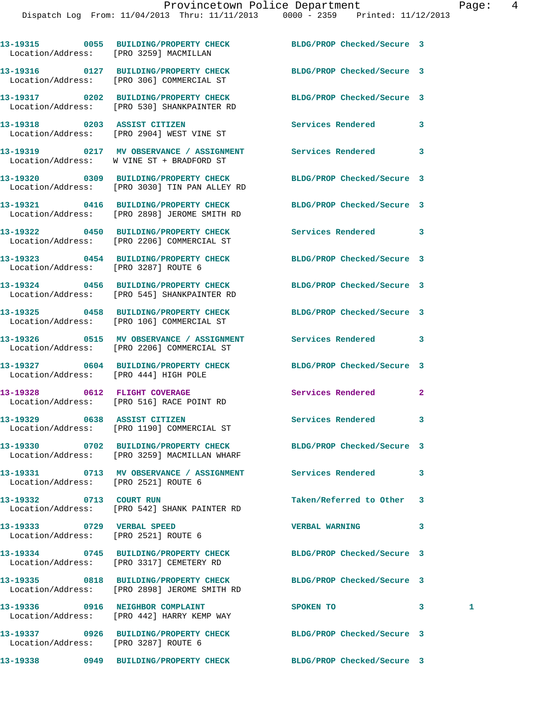|                                                                    | 13-19315 0055 BUILDING/PROPERTY CHECK BLDG/PROP Checked/Secure 3<br>Location/Address: [PRO 3259] MACMILLAN       |                            |                |   |
|--------------------------------------------------------------------|------------------------------------------------------------------------------------------------------------------|----------------------------|----------------|---|
|                                                                    | 13-19316 0127 BUILDING/PROPERTY CHECK BLDG/PROP Checked/Secure 3<br>Location/Address: [PRO 306] COMMERCIAL ST    |                            |                |   |
|                                                                    | 13-19317 0202 BUILDING/PROPERTY CHECK BLDG/PROP Checked/Secure 3<br>Location/Address: [PRO 530] SHANKPAINTER RD  |                            |                |   |
|                                                                    | 13-19318 0203 ASSIST CITIZEN<br>Location/Address: [PRO 2904] WEST VINE ST                                        | Services Rendered          | 3              |   |
|                                                                    | 13-19319 0217 MV OBSERVANCE / ASSIGNMENT Services Rendered<br>Location/Address: W VINE ST + BRADFORD ST          |                            | 3              |   |
|                                                                    | 13-19320 0309 BUILDING/PROPERTY CHECK<br>Location/Address: [PRO 3030] TIN PAN ALLEY RD                           | BLDG/PROP Checked/Secure 3 |                |   |
|                                                                    | 13-19321 0416 BUILDING/PROPERTY CHECK<br>Location/Address: [PRO 2898] JEROME SMITH RD                            | BLDG/PROP Checked/Secure 3 |                |   |
|                                                                    | 13-19322 0450 BUILDING/PROPERTY CHECK<br>Location/Address: [PRO 2206] COMMERCIAL ST                              | Services Rendered          | 3              |   |
| Location/Address: [PRO 3287] ROUTE 6                               | 13-19323 0454 BUILDING/PROPERTY CHECK BLDG/PROP Checked/Secure 3                                                 |                            |                |   |
|                                                                    | 13-19324 0456 BUILDING/PROPERTY CHECK BLDG/PROP Checked/Secure 3<br>Location/Address: [PRO 545] SHANKPAINTER RD  |                            |                |   |
|                                                                    | 13-19325 0458 BUILDING/PROPERTY CHECK BLDG/PROP Checked/Secure 3<br>Location/Address: [PRO 106] COMMERCIAL ST    |                            |                |   |
|                                                                    | 13-19326 0515 MV OBSERVANCE / ASSIGNMENT Services Rendered<br>Location/Address: [PRO 2206] COMMERCIAL ST         |                            | 3              |   |
| Location/Address: [PRO 444] HIGH POLE                              | 13-19327 0604 BUILDING/PROPERTY CHECK                                                                            | BLDG/PROP Checked/Secure 3 |                |   |
|                                                                    | 13-19328 0612 FLIGHT COVERAGE<br>Location/Address: [PRO 516] RACE POINT RD                                       | Services Rendered          | $\overline{2}$ |   |
|                                                                    | 13-19329 0638 ASSIST CITIZEN<br>Location/Address: [PRO 1190] COMMERCIAL ST                                       | Services Rendered          | 3              |   |
|                                                                    | 13-19330 0702 BUILDING/PROPERTY CHECK<br>Location/Address: [PRO 3259] MACMILLAN WHARF                            | BLDG/PROP Checked/Secure 3 |                |   |
| Location/Address: [PRO 2521] ROUTE 6                               | 13-19331 0713 MV OBSERVANCE / ASSIGNMENT Services Rendered                                                       |                            | 3              |   |
| 13-19332 0713 COURT RUN                                            | Location/Address: [PRO 542] SHANK PAINTER RD                                                                     | Taken/Referred to Other    | 3              |   |
| 13-19333 0729 VERBAL SPEED<br>Location/Address: [PRO 2521] ROUTE 6 |                                                                                                                  | <b>VERBAL WARNING</b>      | 3              |   |
|                                                                    | 13-19334 0745 BUILDING/PROPERTY CHECK BLDG/PROP Checked/Secure 3<br>Location/Address: [PRO 3317] CEMETERY RD     |                            |                |   |
|                                                                    | 13-19335 0818 BUILDING/PROPERTY CHECK BLDG/PROP Checked/Secure 3<br>Location/Address: [PRO 2898] JEROME SMITH RD |                            |                |   |
|                                                                    | 13-19336 0916 NEIGHBOR COMPLAINT<br>Location/Address: [PRO 442] HARRY KEMP WAY                                   | SPOKEN TO                  | 3 <sup>7</sup> | 1 |
| Location/Address: [PRO 3287] ROUTE 6                               | 13-19337 0926 BUILDING/PROPERTY CHECK                                                                            | BLDG/PROP Checked/Secure 3 |                |   |
|                                                                    |                                                                                                                  |                            |                |   |

**13-19338 0949 BUILDING/PROPERTY CHECK BLDG/PROP Checked/Secure 3**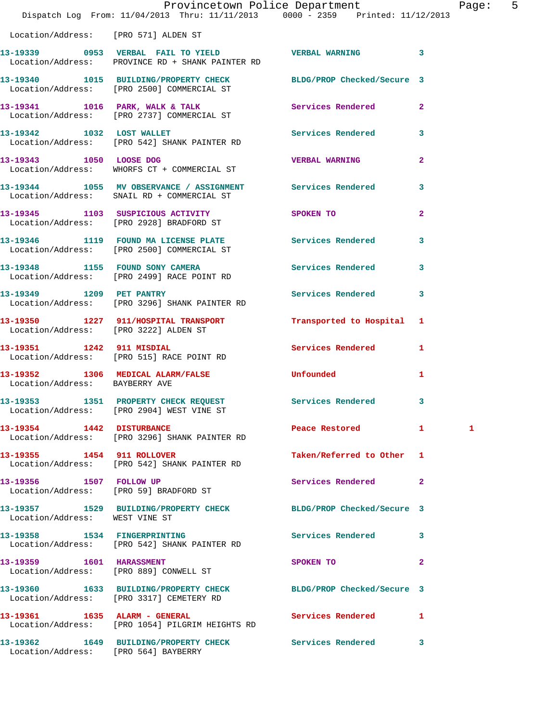|                                      | Provincetown Police Department<br>Dispatch Log From: 11/04/2013 Thru: 11/11/2013 0000 - 2359 Printed: 11/12/2013 |                                         |                | Page: 5 |  |
|--------------------------------------|------------------------------------------------------------------------------------------------------------------|-----------------------------------------|----------------|---------|--|
| Location/Address: [PRO 571] ALDEN ST |                                                                                                                  |                                         |                |         |  |
|                                      | 13-19339 0953 VERBAL FAIL TO YIELD VERBAL WARNING 3<br>Location/Address: PROVINCE RD + SHANK PAINTER RD          |                                         |                |         |  |
|                                      | 13-19340 1015 BUILDING/PROPERTY CHECK BLDG/PROP Checked/Secure 3<br>Location/Address: [PRO 2500] COMMERCIAL ST   |                                         |                |         |  |
|                                      | 13-19341 1016 PARK, WALK & TALK<br>Location/Address: [PRO 2737] COMMERCIAL ST                                    | Services Rendered 2                     |                |         |  |
|                                      | 13-19342 1032 LOST WALLET<br>Location/Address: [PRO 542] SHANK PAINTER RD                                        | Services Rendered 3                     |                |         |  |
|                                      | 13-19343 1050 LOOSE DOG<br>Location/Address: WHORFS CT + COMMERCIAL ST                                           | <b>VERBAL WARNING</b>                   | $\overline{2}$ |         |  |
|                                      | 13-19344 1055 MV OBSERVANCE / ASSIGNMENT Services Rendered 3<br>Location/Address: SNAIL RD + COMMERCIAL ST       |                                         |                |         |  |
|                                      | 13-19345 1103 SUSPICIOUS ACTIVITY SPOKEN TO<br>Location/Address: [PRO 2928] BRADFORD ST                          |                                         | $\overline{2}$ |         |  |
|                                      | 13-19346 1119 FOUND MA LICENSE PLATE Services Rendered 3<br>Location/Address: [PRO 2500] COMMERCIAL ST           |                                         |                |         |  |
|                                      | 13-19348 1155 FOUND SONY CAMERA Services Rendered 3<br>Location/Address: [PRO 2499] RACE POINT RD                |                                         |                |         |  |
|                                      | 13-19349 1209 PET PANTRY<br>Location/Address: [PRO 3296] SHANK PAINTER RD                                        | Services Rendered 3                     |                |         |  |
|                                      | 13-19350 1227 911/HOSPITAL TRANSPORT Transported to Hospital 1<br>Location/Address: [PRO 3222] ALDEN ST          |                                         |                |         |  |
|                                      | 13-19351 1242 911 MISDIAL<br>Location/Address: [PRO 515] RACE POINT RD                                           | Services Rendered 1                     |                |         |  |
| Location/Address: BAYBERRY AVE       | 13-19352 1306 MEDICAL ALARM/FALSE Unfounded                                                                      |                                         | 1              |         |  |
|                                      | 13-19353 1351 PROPERTY CHECK REQUEST Services Rendered 3<br>Location/Address: [PRO 2904] WEST VINE ST            |                                         |                |         |  |
| 13-19354 1442 DISTURBANCE            | Location/Address: [PRO 3296] SHANK PAINTER RD                                                                    | Peace Restored 1                        |                | 1       |  |
|                                      | 13-19355 1454 911 ROLLOVER<br>Location/Address: [PRO 542] SHANK PAINTER RD                                       | Taken/Referred to Other 1               |                |         |  |
| 13-19356 1507 FOLLOW UP              | Location/Address: [PRO 59] BRADFORD ST                                                                           | Services Rendered 2                     |                |         |  |
| Location/Address: WEST VINE ST       | 13-19357 1529 BUILDING/PROPERTY CHECK BLDG/PROP Checked/Secure 3                                                 |                                         |                |         |  |
|                                      | 13-19358 1534 FINGERPRINTING<br>Location/Address: [PRO 542] SHANK PAINTER RD                                     | Services Rendered 3                     |                |         |  |
|                                      | 13-19359    1601    HARASSMENT<br>Location/Address: [PRO 889] CONWELL ST                                         | SPOKEN TO DESCRIPTION OF REAL PROPERTY. | $\mathbf{2}$   |         |  |
|                                      | 13-19360 1633 BUILDING/PROPERTY CHECK BLDG/PROP Checked/Secure 3<br>Location/Address: [PRO 3317] CEMETERY RD     |                                         |                |         |  |
|                                      | 13-19361 1635 ALARM - GENERAL<br>Location/Address: [PRO 1054] PILGRIM HEIGHTS RD                                 | Services Rendered 1                     |                |         |  |
| Location/Address: [PRO 564] BAYBERRY | 13-19362 1649 BUILDING/PROPERTY CHECK Services Rendered 3                                                        |                                         |                |         |  |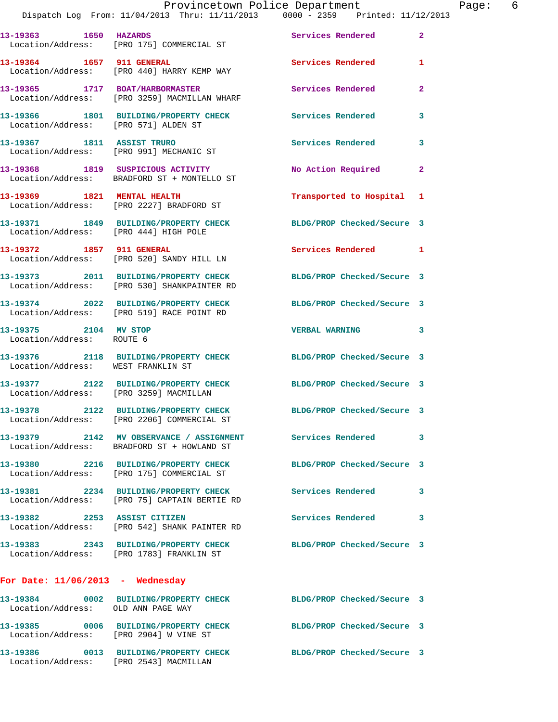| 13-19363 1650 HAZARDS                              | Location/Address: [PRO 175] COMMERCIAL ST                                                                | Services Rendered 2        |                |
|----------------------------------------------------|----------------------------------------------------------------------------------------------------------|----------------------------|----------------|
|                                                    | 13-19364 1657 911 GENERAL<br>Location/Address: [PRO 440] HARRY KEMP WAY                                  | <b>Services Rendered</b>   | $\mathbf{1}$   |
|                                                    | 13-19365 1717 BOAT/HARBORMASTER<br>Location/Address: [PRO 3259] MACMILLAN WHARF                          | Services Rendered          | $\overline{2}$ |
| Location/Address: [PRO 571] ALDEN ST               | 13-19366 1801 BUILDING/PROPERTY CHECK                                                                    | <b>Services Rendered</b>   | 3              |
| 13-19367 1811 ASSIST TRURO                         | Location/Address: [PRO 991] MECHANIC ST                                                                  | Services Rendered          | 3              |
|                                                    | 13-19368 1819 SUSPICIOUS ACTIVITY<br>Location/Address: BRADFORD ST + MONTELLO ST                         | No Action Required         | $\mathbf{2}$   |
|                                                    | 13-19369 1821 MENTAL HEALTH<br>Location/Address: [PRO 2227] BRADFORD ST                                  | Transported to Hospital 1  |                |
| Location/Address: [PRO 444] HIGH POLE              | 13-19371 1849 BUILDING/PROPERTY CHECK                                                                    | BLDG/PROP Checked/Secure 3 |                |
|                                                    | 13-19372 1857 911 GENERAL<br>Location/Address: [PRO 520] SANDY HILL LN                                   | Services Rendered 1        |                |
|                                                    | 13-19373 2011 BUILDING/PROPERTY CHECK<br>Location/Address: [PRO 530] SHANKPAINTER RD                     | BLDG/PROP Checked/Secure 3 |                |
|                                                    | 13-19374 2022 BUILDING/PROPERTY CHECK<br>Location/Address: [PRO 519] RACE POINT RD                       | BLDG/PROP Checked/Secure 3 |                |
| 13-19375 2104 MV STOP<br>Location/Address: ROUTE 6 |                                                                                                          | VERBAL WARNING 3           |                |
| Location/Address: WEST FRANKLIN ST                 | 13-19376 2118 BUILDING/PROPERTY CHECK BLDG/PROP Checked/Secure 3                                         |                            |                |
| Location/Address: [PRO 3259] MACMILLAN             | 13-19377 2122 BUILDING/PROPERTY CHECK                                                                    | BLDG/PROP Checked/Secure 3 |                |
|                                                    | 13-19378 2122 BUILDING/PROPERTY CHECK<br>Location/Address: [PRO 2206] COMMERCIAL ST                      | BLDG/PROP Checked/Secure 3 |                |
|                                                    | 13-19379 2142 MV OBSERVANCE / ASSIGNMENT Services Rendered<br>Location/Address: BRADFORD ST + HOWLAND ST |                            | 3              |
|                                                    | 13-19380 2216 BUILDING/PROPERTY CHECK<br>Location/Address: [PRO 175] COMMERCIAL ST                       | BLDG/PROP Checked/Secure 3 |                |
|                                                    | 13-19381 2234 BUILDING/PROPERTY CHECK<br>Location/Address: [PRO 75] CAPTAIN BERTIE RD                    | <b>Services Rendered</b>   | 3              |
| 13-19382 2253 ASSIST CITIZEN                       | Location/Address: [PRO 542] SHANK PAINTER RD                                                             | Services Rendered          | 3              |
|                                                    | 13-19383 2343 BUILDING/PROPERTY CHECK<br>Location/Address: [PRO 1783] FRANKLIN ST                        | BLDG/PROP Checked/Secure 3 |                |
| For Date: $11/06/2013$ - Wednesday                 |                                                                                                          |                            |                |
| 13-19384<br>Location/Address: OLD ANN PAGE WAY     | 0002 BUILDING/PROPERTY CHECK BLDG/PROP Checked/Secure 3                                                  |                            |                |
| Location/Address: [PRO 2904] W VINE ST             | 13-19385 0006 BUILDING/PROPERTY CHECK                                                                    | BLDG/PROP Checked/Secure 3 |                |
| Location/Address: [PRO 2543] MACMILLAN             | 13-19386 0013 BUILDING/PROPERTY CHECK                                                                    | BLDG/PROP Checked/Secure 3 |                |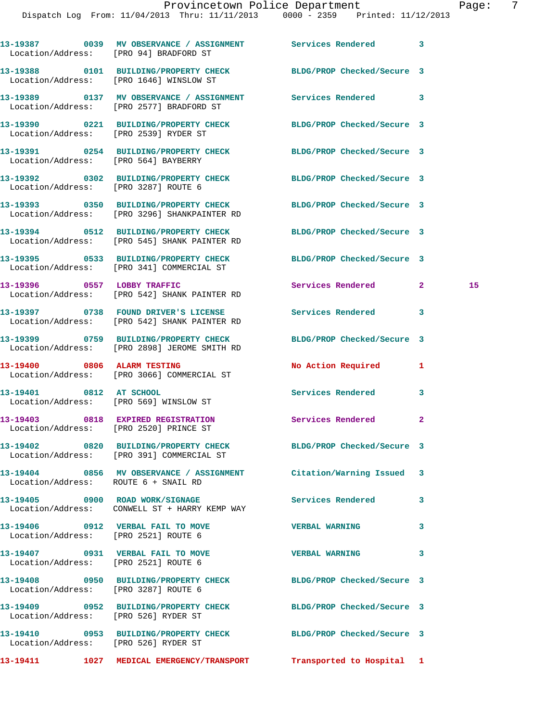|                                                                           | Dispatch Log From: 11/04/2013 Thru: 11/11/2013 0000 - 2359 Printed: 11/12/2013                                   |                            |                    |
|---------------------------------------------------------------------------|------------------------------------------------------------------------------------------------------------------|----------------------------|--------------------|
| Location/Address: [PRO 94] BRADFORD ST                                    | 13-19387 0039 MV OBSERVANCE / ASSIGNMENT Services Rendered                                                       |                            | $\mathbf{3}$       |
| Location/Address: [PRO 1646] WINSLOW ST                                   | 13-19388 0101 BUILDING/PROPERTY CHECK BLDG/PROP Checked/Secure 3                                                 |                            |                    |
|                                                                           | 13-19389 0137 MV OBSERVANCE / ASSIGNMENT Services Rendered<br>Location/Address: [PRO 2577] BRADFORD ST           |                            | 3                  |
|                                                                           | 13-19390 0221 BUILDING/PROPERTY CHECK<br>Location/Address: [PRO 2539] RYDER ST                                   | BLDG/PROP Checked/Secure 3 |                    |
| Location/Address: [PRO 564] BAYBERRY                                      | 13-19391 0254 BUILDING/PROPERTY CHECK BLDG/PROP Checked/Secure 3                                                 |                            |                    |
| Location/Address: [PRO 3287] ROUTE 6                                      | 13-19392 0302 BUILDING/PROPERTY CHECK BLDG/PROP Checked/Secure 3                                                 |                            |                    |
|                                                                           | 13-19393 0350 BUILDING/PROPERTY CHECK BLDG/PROP Checked/Secure 3<br>Location/Address: [PRO 3296] SHANKPAINTER RD |                            |                    |
|                                                                           | 13-19394 0512 BUILDING/PROPERTY CHECK<br>Location/Address: [PRO 545] SHANK PAINTER RD                            | BLDG/PROP Checked/Secure 3 |                    |
|                                                                           | 13-19395 0533 BUILDING/PROPERTY CHECK BLDG/PROP Checked/Secure 3<br>Location/Address: [PRO 341] COMMERCIAL ST    |                            |                    |
|                                                                           | 13-19396 0557 LOBBY TRAFFIC<br>Location/Address: [PRO 542] SHANK PAINTER RD                                      | Services Rendered          | $\mathbf{2}$<br>15 |
|                                                                           | 13-19397 0738 FOUND DRIVER'S LICENSE<br>Location/Address: [PRO 542] SHANK PAINTER RD                             | <b>Services Rendered</b>   | 3                  |
|                                                                           | 13-19399 0759 BUILDING/PROPERTY CHECK<br>Location/Address: [PRO 2898] JEROME SMITH RD                            | BLDG/PROP Checked/Secure 3 |                    |
|                                                                           | 13-19400 0806 ALARM TESTING<br>Location/Address: [PRO 3066] COMMERCIAL ST                                        | No Action Required         | 1                  |
| 13-19401 0812 AT SCHOOL<br>Location/Address: [PRO 569] WINSLOW ST         |                                                                                                                  | <b>Services Rendered</b>   | 3                  |
| Location/Address: [PRO 2520] PRINCE ST                                    | 13-19403 0818 EXPIRED REGISTRATION Services Rendered                                                             |                            | -2.                |
|                                                                           | 13-19402 0820 BUILDING/PROPERTY CHECK<br>Location/Address: [PRO 391] COMMERCIAL ST                               | BLDG/PROP Checked/Secure 3 |                    |
| Location/Address: ROUTE 6 + SNAIL RD                                      | 13-19404 0856 MV OBSERVANCE / ASSIGNMENT                                                                         | Citation/Warning Issued    | 3                  |
|                                                                           | 13-19405 0900 ROAD WORK/SIGNAGE<br>Location/Address: CONWELL ST + HARRY KEMP WAY                                 | Services Rendered          | 3                  |
| 13-19406 0912 VERBAL FAIL TO MOVE<br>Location/Address: [PRO 2521] ROUTE 6 |                                                                                                                  | <b>VERBAL WARNING</b>      | 3                  |

Location/Address: [PRO 2521] ROUTE 6

Location/Address: [PRO 3287] ROUTE 6

Location/Address: [PRO 526] RYDER ST

Location/Address: [PRO 526] RYDER ST

- **13-19407 0931 VERBAL FAIL TO MOVE VERBAL WARNING 3**
- **13-19408 0950 BUILDING/PROPERTY CHECK BLDG/PROP Checked/Secure 3**
- **13-19409 0952 BUILDING/PROPERTY CHECK BLDG/PROP Checked/Secure 3**
- **13-19410 0953 BUILDING/PROPERTY CHECK BLDG/PROP Checked/Secure 3**
- **13-19411 1027 MEDICAL EMERGENCY/TRANSPORT Transported to Hospital 1**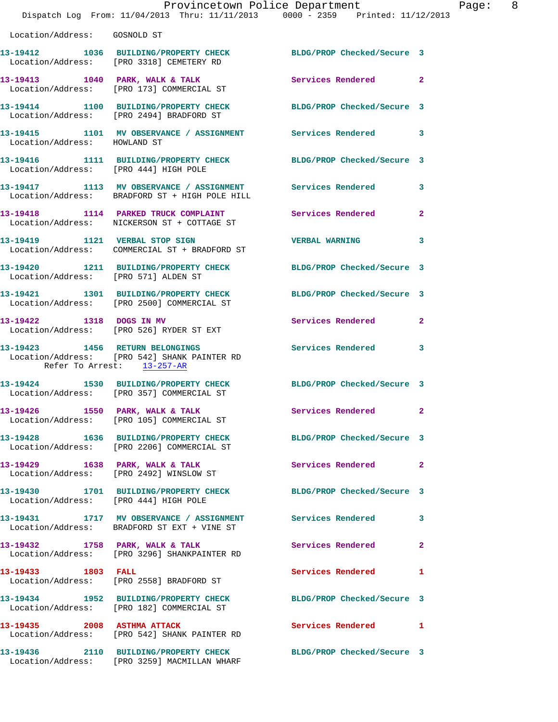|                                       | Provincetown Police Department<br>Dispatch Log From: 11/04/2013 Thru: 11/11/2013 0000 - 2359 Printed: 11/12/2013 |                            |                |
|---------------------------------------|------------------------------------------------------------------------------------------------------------------|----------------------------|----------------|
| Location/Address: GOSNOLD ST          |                                                                                                                  |                            |                |
|                                       | 13-19412 1036 BUILDING/PROPERTY CHECK BLDG/PROP Checked/Secure 3<br>Location/Address: [PRO 3318] CEMETERY RD     |                            |                |
|                                       | 13-19413 1040 PARK, WALK & TALK<br>Location/Address: [PRO 173] COMMERCIAL ST                                     | Services Rendered          | $\overline{2}$ |
|                                       | 13-19414 1100 BUILDING/PROPERTY CHECK<br>Location/Address: [PRO 2494] BRADFORD ST                                | BLDG/PROP Checked/Secure 3 |                |
| Location/Address: HOWLAND ST          | 13-19415 1101 MV OBSERVANCE / ASSIGNMENT Services Rendered                                                       |                            | 3              |
| Location/Address: [PRO 444] HIGH POLE | 13-19416 1111 BUILDING/PROPERTY CHECK                                                                            | BLDG/PROP Checked/Secure 3 |                |
|                                       | 13-19417 1113 MV OBSERVANCE / ASSIGNMENT<br>Location/Address: BRADFORD ST + HIGH POLE HILL                       | Services Rendered          | 3              |
|                                       | 13-19418 1114 PARKED TRUCK COMPLAINT<br>Location/Address: NICKERSON ST + COTTAGE ST                              | Services Rendered          | $\overline{2}$ |
|                                       | 13-19419 1121 VERBAL STOP SIGN<br>Location/Address: COMMERCIAL ST + BRADFORD ST                                  | <b>VERBAL WARNING</b>      | 3              |
| Location/Address: [PRO 571] ALDEN ST  | 13-19420 1211 BUILDING/PROPERTY CHECK                                                                            | BLDG/PROP Checked/Secure 3 |                |
|                                       | 13-19421 1301 BUILDING/PROPERTY CHECK<br>Location/Address: [PRO 2500] COMMERCIAL ST                              | BLDG/PROP Checked/Secure 3 |                |
| 13-19422 1318 DOGS IN MV              | Location/Address: [PRO 526] RYDER ST EXT                                                                         | Services Rendered          | $\overline{2}$ |
| Refer To Arrest: 13-257-AR            | 13-19423 1456 RETURN BELONGINGS<br>Location/Address: [PRO 542] SHANK PAINTER RD                                  | <b>Services Rendered</b>   | 3              |
|                                       | 13-19424 1530 BUILDING/PROPERTY CHECK BLDG/PROP Checked/Secure 3<br>Location/Address: [PRO 357] COMMERCIAL ST    |                            |                |
|                                       | 13-19426 1550 PARK, WALK & TALK<br>Location/Address: [PRO 105] COMMERCIAL ST                                     | Services Rendered          | $\mathbf{2}$   |
|                                       | 13-19428 1636 BUILDING/PROPERTY CHECK<br>Location/Address: [PRO 2206] COMMERCIAL ST                              | BLDG/PROP Checked/Secure 3 |                |
|                                       | 13-19429 1638 PARK, WALK & TALK<br>Location/Address: [PRO 2492] WINSLOW ST                                       | Services Rendered          | $\mathbf{2}$   |
| Location/Address: [PRO 444] HIGH POLE | 13-19430 1701 BUILDING/PROPERTY CHECK                                                                            | BLDG/PROP Checked/Secure 3 |                |
|                                       | 13-19431 1717 MV OBSERVANCE / ASSIGNMENT<br>Location/Address: BRADFORD ST EXT + VINE ST                          | <b>Services Rendered</b>   | 3              |
|                                       | 13-19432 1758 PARK, WALK & TALK<br>Location/Address: [PRO 3296] SHANKPAINTER RD                                  | Services Rendered          | $\overline{a}$ |
| 13-19433 1803 FALL                    | Location/Address: [PRO 2558] BRADFORD ST                                                                         | Services Rendered          | 1              |
|                                       | 13-19434 1952 BUILDING/PROPERTY CHECK<br>Location/Address: [PRO 182] COMMERCIAL ST                               | BLDG/PROP Checked/Secure 3 |                |
|                                       | 13-19435 2008 ASTHMA ATTACK<br>Location/Address: [PRO 542] SHANK PAINTER RD                                      | Services Rendered          | 1              |
| 13-19436                              | 2110 BUILDING/PROPERTY CHECK                                                                                     | BLDG/PROP Checked/Secure 3 |                |

Location/Address: [PRO 3259] MACMILLAN WHARF

Page: 8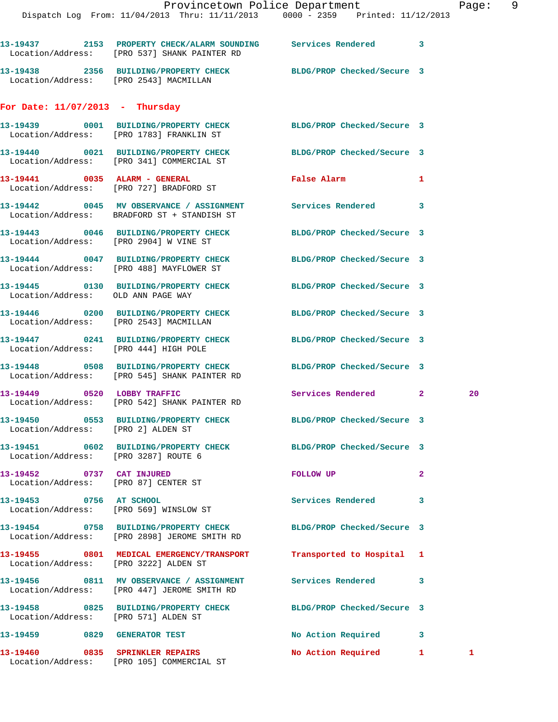|                                                                   | 13-19437 2153 PROPERTY CHECK/ALARM SOUNDING Services Rendered 3<br>Location/Address: [PRO 537] SHANK PAINTER RD  |                            |                                    |    |
|-------------------------------------------------------------------|------------------------------------------------------------------------------------------------------------------|----------------------------|------------------------------------|----|
| Location/Address: [PRO 2543] MACMILLAN                            | 13-19438 2356 BUILDING/PROPERTY CHECK BLDG/PROP Checked/Secure 3                                                 |                            |                                    |    |
| For Date: $11/07/2013$ - Thursday                                 |                                                                                                                  |                            |                                    |    |
|                                                                   | 13-19439 0001 BUILDING/PROPERTY CHECK BLDG/PROP Checked/Secure 3<br>Location/Address: [PRO 1783] FRANKLIN ST     |                            |                                    |    |
|                                                                   | 13-19440 0021 BUILDING/PROPERTY CHECK<br>Location/Address: [PRO 341] COMMERCIAL ST                               | BLDG/PROP Checked/Secure 3 |                                    |    |
|                                                                   | 13-19441 0035 ALARM - GENERAL<br>Location/Address: [PRO 727] BRADFORD ST                                         | False Alarm                | 1                                  |    |
|                                                                   | 13-19442 0045 MV OBSERVANCE / ASSIGNMENT Services Rendered 3<br>Location/Address: BRADFORD ST + STANDISH ST      |                            |                                    |    |
| Location/Address: [PRO 2904] W VINE ST                            | 13-19443 0046 BUILDING/PROPERTY CHECK                                                                            | BLDG/PROP Checked/Secure 3 |                                    |    |
|                                                                   | 13-19444 0047 BUILDING/PROPERTY CHECK<br>Location/Address: [PRO 488] MAYFLOWER ST                                | BLDG/PROP Checked/Secure 3 |                                    |    |
| Location/Address: OLD ANN PAGE WAY                                | 13-19445 0130 BUILDING/PROPERTY CHECK                                                                            | BLDG/PROP Checked/Secure 3 |                                    |    |
| Location/Address: [PRO 2543] MACMILLAN                            | 13-19446 0200 BUILDING/PROPERTY CHECK                                                                            | BLDG/PROP Checked/Secure 3 |                                    |    |
| Location/Address: [PRO 444] HIGH POLE                             | 13-19447 0241 BUILDING/PROPERTY CHECK                                                                            | BLDG/PROP Checked/Secure 3 |                                    |    |
|                                                                   | 13-19448 0508 BUILDING/PROPERTY CHECK BLDG/PROP Checked/Secure 3<br>Location/Address: [PRO 545] SHANK PAINTER RD |                            |                                    |    |
|                                                                   | 13-19449 0520 LOBBY TRAFFIC<br>Location/Address: [PRO 542] SHANK PAINTER RD                                      | Services Rendered          | $\mathbf{2}$                       | 20 |
| Location/Address: [PRO 2] ALDEN ST                                | 13-19450 0553 BUILDING/PROPERTY CHECK BLDG/PROP Checked/Secure 3                                                 |                            |                                    |    |
| Location/Address: [PRO 3287] ROUTE 6                              | 13-19451 0602 BUILDING/PROPERTY CHECK                                                                            | BLDG/PROP Checked/Secure 3 |                                    |    |
| 13-19452 0737 CAT INJURED<br>Location/Address: [PRO 87] CENTER ST |                                                                                                                  | <b>FOLLOW UP</b>           | 2                                  |    |
| 13-19453 0756 AT SCHOOL                                           | Location/Address: [PRO 569] WINSLOW ST                                                                           | Services Rendered          | 3                                  |    |
|                                                                   | 13-19454  0758 BUILDING/PROPERTY CHECK<br>Location/Address: [PRO 2898] JEROME SMITH RD                           | BLDG/PROP Checked/Secure 3 |                                    |    |
| Location/Address: [PRO 3222] ALDEN ST                             | 13-19455 0801 MEDICAL EMERGENCY/TRANSPORT Transported to Hospital 1                                              |                            |                                    |    |
|                                                                   | Location/Address: [PRO 447] JEROME SMITH RD                                                                      |                            | 3                                  |    |
| Location/Address: [PRO 571] ALDEN ST                              | 13-19458 0825 BUILDING/PROPERTY CHECK BLDG/PROP Checked/Secure 3                                                 |                            |                                    |    |
| 13-19459 0829 GENERATOR TEST                                      |                                                                                                                  | No Action Required 3       |                                    |    |
| 13-19460 0835 SPRINKLER REPAIRS                                   |                                                                                                                  | No Action Required 1       | $\sim$ $\sim$ $\sim$ $\sim$ $\sim$ |    |

Location/Address: [PRO 105] COMMERCIAL ST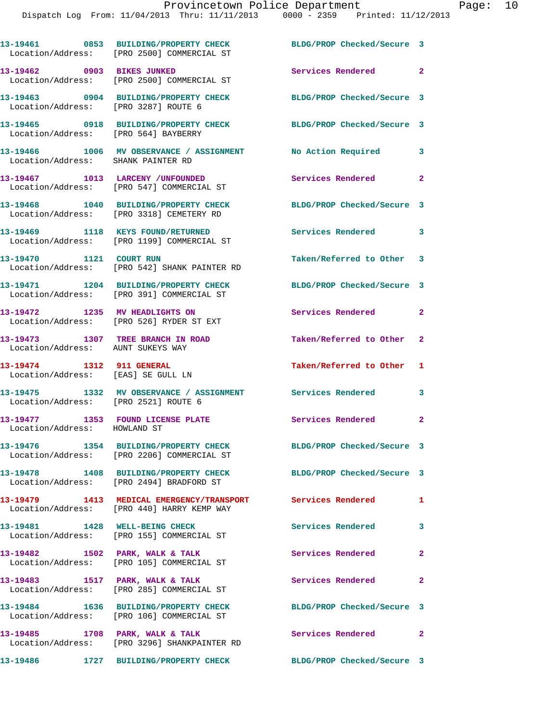|                                                                        | 13-19461 0853 BUILDING/PROPERTY CHECK<br>Location/Address: [PRO 2500] COMMERCIAL ST                          | BLDG/PROP Checked/Secure 3 |                |
|------------------------------------------------------------------------|--------------------------------------------------------------------------------------------------------------|----------------------------|----------------|
| 13-19462 0903 BIKES JUNKED                                             | Location/Address: [PRO 2500] COMMERCIAL ST                                                                   | Services Rendered 2        |                |
| Location/Address: [PRO 3287] ROUTE 6                                   | 13-19463 0904 BUILDING/PROPERTY CHECK                                                                        | BLDG/PROP Checked/Secure 3 |                |
| Location/Address: [PRO 564] BAYBERRY                                   | 13-19465 0918 BUILDING/PROPERTY CHECK                                                                        | BLDG/PROP Checked/Secure 3 |                |
| Location/Address: SHANK PAINTER RD                                     | 13-19466 1006 MV OBSERVANCE / ASSIGNMENT                                                                     | No Action Required         | 3              |
|                                                                        | 13-19467 1013 LARCENY / UNFOUNDED<br>Location/Address: [PRO 547] COMMERCIAL ST                               | Services Rendered          | $\mathbf{2}$   |
|                                                                        | 13-19468 1040 BUILDING/PROPERTY CHECK<br>Location/Address: [PRO 3318] CEMETERY RD                            | BLDG/PROP Checked/Secure 3 |                |
|                                                                        | 13-19469 1118 KEYS FOUND/RETURNED<br>Location/Address: [PRO 1199] COMMERCIAL ST                              | Services Rendered 3        |                |
| 13-19470 1121 COURT RUN                                                | Location/Address: [PRO 542] SHANK PAINTER RD                                                                 | Taken/Referred to Other 3  |                |
|                                                                        | 13-19471 1204 BUILDING/PROPERTY CHECK<br>Location/Address: [PRO 391] COMMERCIAL ST                           | BLDG/PROP Checked/Secure 3 |                |
| 13-19472 1235 MV HEADLIGHTS ON                                         | Location/Address: [PRO 526] RYDER ST EXT                                                                     | Services Rendered 2        |                |
| 13-19473 1307 TREE BRANCH IN ROAD<br>Location/Address: AUNT SUKEYS WAY |                                                                                                              | Taken/Referred to Other 2  |                |
| 13-19474 1312 911 GENERAL<br>Location/Address: [EAS] SE GULL LN        |                                                                                                              | Taken/Referred to Other 1  |                |
| Location/Address: [PRO 2521] ROUTE 6                                   | 13-19475 1332 MV OBSERVANCE / ASSIGNMENT Services Rendered                                                   |                            | 3              |
| 13-19477 1353 FOUND LICENSE PLATE<br>Location/Address: HOWLAND ST      |                                                                                                              | Services Rendered          | $\mathbf{2}$   |
|                                                                        | 13-19476 1354 BUILDING/PROPERTY CHECK<br>Location/Address: [PRO 2206] COMMERCIAL ST                          | BLDG/PROP Checked/Secure 3 |                |
|                                                                        | 13-19478 1408 BUILDING/PROPERTY CHECK BLDG/PROP Checked/Secure 3<br>Location/Address: [PRO 2494] BRADFORD ST |                            |                |
|                                                                        | 13-19479 1413 MEDICAL EMERGENCY/TRANSPORT Services Rendered<br>Location/Address: [PRO 440] HARRY KEMP WAY    |                            | 1              |
| 13-19481 1428 WELL-BEING CHECK                                         | Location/Address: [PRO 155] COMMERCIAL ST                                                                    | Services Rendered 3        |                |
|                                                                        | 13-19482 1502 PARK, WALK & TALK<br>Location/Address: [PRO 105] COMMERCIAL ST                                 | Services Rendered          | $\overline{2}$ |
| 13-19483 1517 PARK, WALK & TALK                                        | Location/Address: [PRO 285] COMMERCIAL ST                                                                    | Services Rendered 2        |                |
|                                                                        | Location/Address: [PRO 106] COMMERCIAL ST                                                                    | BLDG/PROP Checked/Secure 3 |                |
| 13-19485 1708 PARK, WALK & TALK                                        | Location/Address: [PRO 3296] SHANKPAINTER RD                                                                 | Services Rendered 2        |                |
| 13-19486                                                               | 1727 BUILDING/PROPERTY CHECK                                                                                 | BLDG/PROP Checked/Secure 3 |                |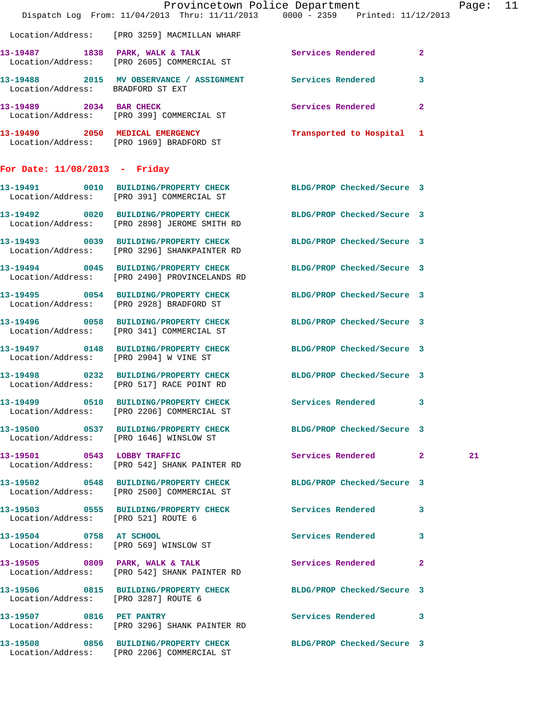|                                      |                                                                                                                   | Provincetown Police Department<br>Dispatch Log From: 11/04/2013 Thru: 11/11/2013 0000 - 2359 Printed: 11/12/2013 | Page: 11 |
|--------------------------------------|-------------------------------------------------------------------------------------------------------------------|------------------------------------------------------------------------------------------------------------------|----------|
|                                      | Location/Address: [PRO 3259] MACMILLAN WHARF                                                                      |                                                                                                                  |          |
|                                      | Location/Address: [PRO 2605] COMMERCIAL ST                                                                        | 13-19487 1838 PARK, WALK & TALK 1998 Services Rendered 2                                                         |          |
| Location/Address: BRADFORD ST EXT    | 13-19488 2015 MV OBSERVANCE / ASSIGNMENT Services Rendered                                                        | $\mathbf{3}$                                                                                                     |          |
| 13-19489 2034 BAR CHECK              | Location/Address: [PRO 399] COMMERCIAL ST                                                                         | Services Rendered 2                                                                                              |          |
|                                      | 13-19490 2050 MEDICAL EMERGENCY<br>Location/Address: [PRO 1969] BRADFORD ST                                       | Transported to Hospital 1                                                                                        |          |
| For Date: $11/08/2013$ - Friday      |                                                                                                                   |                                                                                                                  |          |
|                                      | Location/Address: [PRO 391] COMMERCIAL ST                                                                         | 13-19491 0010 BUILDING/PROPERTY CHECK BLDG/PROP Checked/Secure 3                                                 |          |
|                                      | Location/Address: [PRO 2898] JEROME SMITH RD                                                                      | 13-19492 0020 BUILDING/PROPERTY CHECK BLDG/PROP Checked/Secure 3                                                 |          |
|                                      | 13-19493 0039 BUILDING/PROPERTY CHECK BLDG/PROP Checked/Secure 3<br>Location/Address: [PRO 3296] SHANKPAINTER RD  |                                                                                                                  |          |
|                                      | 13-19494 0045 BUILDING/PROPERTY CHECK BLDG/PROP Checked/Secure 3<br>Location/Address: [PRO 2490] PROVINCELANDS RD |                                                                                                                  |          |
|                                      | Location/Address: [PRO 2928] BRADFORD ST                                                                          | 13-19495 0054 BUILDING/PROPERTY CHECK BLDG/PROP Checked/Secure 3                                                 |          |
|                                      | 13-19496 0058 BUILDING/PROPERTY CHECK BLDG/PROP Checked/Secure 3<br>Location/Address: [PRO 341] COMMERCIAL ST     |                                                                                                                  |          |
|                                      | 13-19497 0148 BUILDING/PROPERTY CHECK BLDG/PROP Checked/Secure 3<br>Location/Address: [PRO 2904] W VINE ST        |                                                                                                                  |          |
|                                      | 13-19498 0232 BUILDING/PROPERTY CHECK BLDG/PROP Checked/Secure 3<br>Location/Address: [PRO 517] RACE POINT RD     |                                                                                                                  |          |
|                                      | Location/Address: [PRO 2206] COMMERCIAL ST                                                                        | 13-19499 0510 BUILDING/PROPERTY CHECK Services Rendered 3                                                        |          |
|                                      | Location/Address: [PRO 1646] WINSLOW ST                                                                           | 13-19500 0537 BUILDING/PROPERTY CHECK BLDG/PROP Checked/Secure 3                                                 |          |
|                                      | 13-19501 0543 LOBBY TRAFFIC<br>Location/Address: [PRO 542] SHANK PAINTER RD                                       | Services Rendered 2                                                                                              | 21       |
|                                      | Location/Address: [PRO 2500] COMMERCIAL ST                                                                        | 13-19502 0548 BUILDING/PROPERTY CHECK BLDG/PROP Checked/Secure 3                                                 |          |
| Location/Address: [PRO 521] ROUTE 6  |                                                                                                                   | 13-19503 0555 BUILDING/PROPERTY CHECK Services Rendered 3                                                        |          |
|                                      | 13-19504 0758 AT SCHOOL<br>Location/Address: [PRO 569] WINSLOW ST                                                 | Services Rendered 3                                                                                              |          |
|                                      | 13-19505 0809 PARK, WALK & TALK<br>Location/Address: [PRO 542] SHANK PAINTER RD                                   | Services Rendered 2                                                                                              |          |
| Location/Address: [PRO 3287] ROUTE 6 |                                                                                                                   | 13-19506 0815 BUILDING/PROPERTY CHECK BLDG/PROP Checked/Secure 3                                                 |          |
|                                      | 13-19507 0816 PET PANTRY<br>Location/Address: [PRO 3296] SHANK PAINTER RD                                         | Services Rendered 3                                                                                              |          |
|                                      | 13-19508 0856 BUILDING/PROPERTY CHECK BLDG/PROP Checked/Secure 3<br>Location/Address: [PRO 2206] COMMERCIAL ST    |                                                                                                                  |          |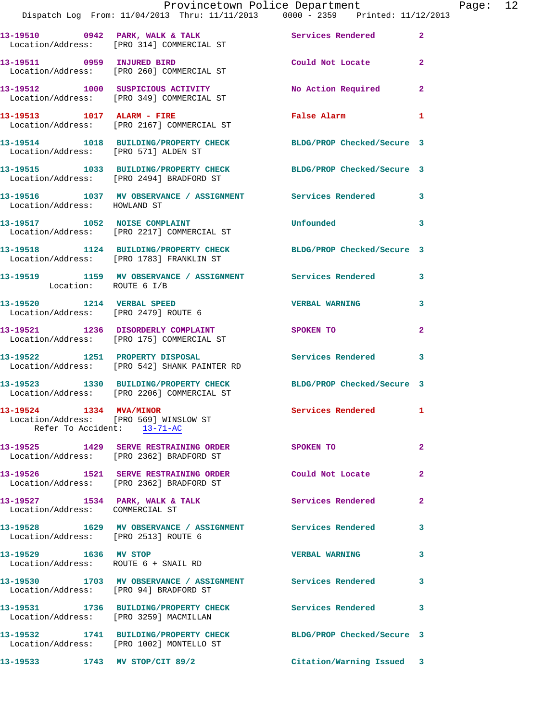|                                                                                                  | Provincetown Police Department<br>Dispatch Log From: 11/04/2013 Thru: 11/11/2013 0000 - 2359 Printed: 11/12/2013 |                          |                |
|--------------------------------------------------------------------------------------------------|------------------------------------------------------------------------------------------------------------------|--------------------------|----------------|
|                                                                                                  | 13-19510 0942 PARK, WALK & TALK Services Rendered<br>Location/Address: [PRO 314] COMMERCIAL ST                   |                          | $\overline{2}$ |
| 13-19511 0959 INJURED BIRD                                                                       | Location/Address: [PRO 260] COMMERCIAL ST                                                                        | Could Not Locate         | $\overline{a}$ |
|                                                                                                  | 13-19512 1000 SUSPICIOUS ACTIVITY<br>Location/Address: [PRO 349] COMMERCIAL ST                                   | No Action Required       | $\mathbf{2}$   |
| 13-19513 1017 ALARM - FIRE                                                                       | Location/Address: [PRO 2167] COMMERCIAL ST                                                                       | <b>False Alarm</b>       | 1              |
| Location/Address: [PRO 571] ALDEN ST                                                             | 13-19514 1018 BUILDING/PROPERTY CHECK BLDG/PROP Checked/Secure 3                                                 |                          |                |
|                                                                                                  | 13-19515 1033 BUILDING/PROPERTY CHECK BLDG/PROP Checked/Secure 3<br>Location/Address: [PRO 2494] BRADFORD ST     |                          |                |
|                                                                                                  | 13-19516 1037 MV OBSERVANCE / ASSIGNMENT Services Rendered<br>Location/Address: HOWLAND ST                       |                          | 3              |
|                                                                                                  | 13-19517 1052 NOISE COMPLAINT<br>Location/Address: [PRO 2217] COMMERCIAL ST                                      | Unfounded                | 3              |
|                                                                                                  | 13-19518 1124 BUILDING/PROPERTY CHECK BLDG/PROP Checked/Secure 3<br>Location/Address: [PRO 1783] FRANKLIN ST     |                          |                |
| Location: ROUTE 6 I/B                                                                            | 13-19519 1159 MV OBSERVANCE / ASSIGNMENT Services Rendered                                                       |                          | 3              |
| 13-19520 1214 VERBAL SPEED                                                                       | Location/Address: [PRO 2479] ROUTE 6                                                                             | <b>VERBAL WARNING</b>    | 3              |
|                                                                                                  | 13-19521 1236 DISORDERLY COMPLAINT<br>Location/Address: [PRO 175] COMMERCIAL ST                                  | <b>SPOKEN TO</b>         | $\mathbf{2}$   |
|                                                                                                  | 13-19522 1251 PROPERTY DISPOSAL<br>Location/Address: [PRO 542] SHANK PAINTER RD                                  | Services Rendered        | 3              |
|                                                                                                  | 13-19523 1330 BUILDING/PROPERTY CHECK BLDG/PROP Checked/Secure 3<br>Location/Address: [PRO 2206] COMMERCIAL ST   |                          |                |
| 13-19524 1334 MVA/MINOR<br>Location/Address: [PRO 569] WINSLOW ST<br>Refer To Accident: 13-71-AC |                                                                                                                  | Services Rendered        | 1              |
|                                                                                                  | 13-19525 1429 SERVE RESTRAINING ORDER<br>Location/Address: [PRO 2362] BRADFORD ST                                | SPOKEN TO                | 2              |
|                                                                                                  | 13-19526 1521 SERVE RESTRAINING ORDER<br>Location/Address: [PRO 2362] BRADFORD ST                                | Could Not Locate         | 2              |
| Location/Address: COMMERCIAL ST                                                                  | 13-19527 1534 PARK, WALK & TALK                                                                                  | <b>Services Rendered</b> | 2              |
| Location/Address: [PRO 2513] ROUTE 6                                                             | 13-19528 1629 MV OBSERVANCE / ASSIGNMENT Services Rendered                                                       |                          | 3              |
| 13-19529 1636 MV STOP<br>Location/Address: ROUTE 6 + SNAIL RD                                    |                                                                                                                  | <b>VERBAL WARNING</b>    | 3              |
| Location/Address: [PRO 94] BRADFORD ST                                                           | 13-19530 1703 MV OBSERVANCE / ASSIGNMENT Services Rendered                                                       |                          | 3              |
| Location/Address: [PRO 3259] MACMILLAN                                                           | 13-19531 1736 BUILDING/PROPERTY CHECK Services Rendered                                                          |                          | 3              |
|                                                                                                  | 13-19532 1741 BUILDING/PROPERTY CHECK BLDG/PROP Checked/Secure 3<br>Location/Address: [PRO 1002] MONTELLO ST     |                          |                |
| 13-19533 1743 MV STOP/CIT 89/2                                                                   |                                                                                                                  | Citation/Warning Issued  | 3              |

Page:  $12$ <br> $13$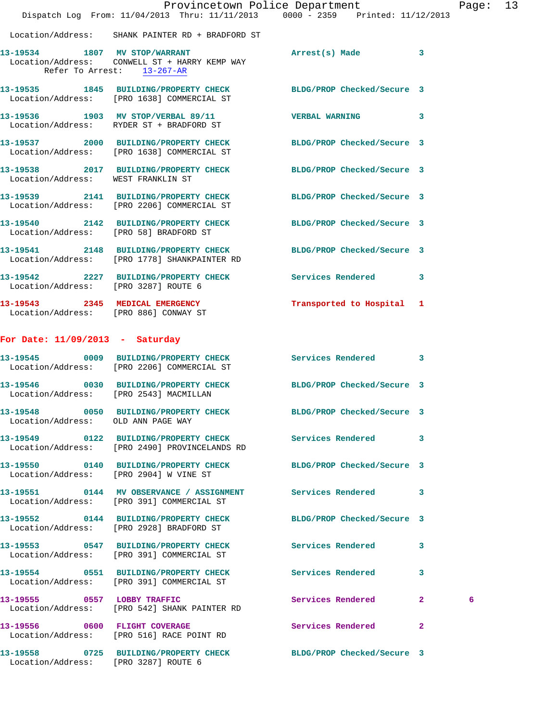|                                      |                                                                                                                  | Provincetown Police Department<br>Dispatch Log From: 11/04/2013 Thru: 11/11/2013 0000 - 2359 Printed: 11/12/2013 | Page: 13 |
|--------------------------------------|------------------------------------------------------------------------------------------------------------------|------------------------------------------------------------------------------------------------------------------|----------|
|                                      | Location/Address: SHANK PAINTER RD + BRADFORD ST                                                                 |                                                                                                                  |          |
|                                      | 13-19534 1807 MV STOP/WARRANT<br>Location/Address: CONWELL ST + HARRY KEMP WAY<br>Refer To Arrest: 13-267-AR     | Arrest(s) Made 3                                                                                                 |          |
|                                      | 13-19535 1845 BUILDING/PROPERTY CHECK BLDG/PROP Checked/Secure 3<br>Location/Address: [PRO 1638] COMMERCIAL ST   |                                                                                                                  |          |
|                                      | 13-19536 1903 MV STOP/VERBAL 89/11 7 VERBAL WARNING 3<br>Location/Address: RYDER ST + BRADFORD ST                |                                                                                                                  |          |
|                                      | 13-19537 2000 BUILDING/PROPERTY CHECK BLDG/PROP Checked/Secure 3<br>Location/Address: [PRO 1638] COMMERCIAL ST   |                                                                                                                  |          |
|                                      | 13-19538 2017 BUILDING/PROPERTY CHECK BLDG/PROP Checked/Secure 3<br>Location/Address: WEST FRANKLIN ST           |                                                                                                                  |          |
|                                      | 13-19539 2141 BUILDING/PROPERTY CHECK BLDG/PROP Checked/Secure 3<br>Location/Address: [PRO 2206] COMMERCIAL ST   |                                                                                                                  |          |
|                                      | 13-19540 2142 BUILDING/PROPERTY CHECK BLDG/PROP Checked/Secure 3<br>Location/Address: [PRO 58] BRADFORD ST       |                                                                                                                  |          |
|                                      | 13-19541 2148 BUILDING/PROPERTY CHECK BLDG/PROP Checked/Secure 3<br>Location/Address: [PRO 1778] SHANKPAINTER RD |                                                                                                                  |          |
| Location/Address: [PRO 3287] ROUTE 6 | 13-19542 2227 BUILDING/PROPERTY CHECK Services Rendered 3                                                        |                                                                                                                  |          |
|                                      | 13-19543 2345 MEDICAL EMERGENCY<br>Location/Address: [PRO 886] CONWAY ST                                         | Transported to Hospital 1                                                                                        |          |
| For Date: $11/09/2013$ - Saturday    |                                                                                                                  |                                                                                                                  |          |
|                                      | 13-19545 0009 BUILDING/PROPERTY CHECK Services Rendered 3<br>Location/Address: [PRO 2206] COMMERCIAL ST          |                                                                                                                  |          |
|                                      | 13-19546 0030 BUILDING/PROPERTY CHECK<br>Location/Address: [PRO 2543] MACMILLAN                                  | BLDG/PROP Checked/Secure 3                                                                                       |          |
| Location/Address: OLD ANN PAGE WAY   | 13-19548 0050 BUILDING/PROPERTY CHECK                                                                            | BLDG/PROP Checked/Secure 3                                                                                       |          |
|                                      | 13-19549 0122 BUILDING/PROPERTY CHECK Services Rendered 3<br>Location/Address: [PRO 2490] PROVINCELANDS RD       |                                                                                                                  |          |
|                                      | 13-19550 0140 BUILDING/PROPERTY CHECK BLDG/PROP Checked/Secure 3<br>Location/Address: [PRO 2904] W VINE ST       |                                                                                                                  |          |
|                                      | 13-19551 0144 MV OBSERVANCE / ASSIGNMENT Services Rendered 3<br>Location/Address: [PRO 391] COMMERCIAL ST        |                                                                                                                  |          |
|                                      | 13-19552 0144 BUILDING/PROPERTY CHECK BLDG/PROP Checked/Secure 3<br>Location/Address: [PRO 2928] BRADFORD ST     |                                                                                                                  |          |
|                                      | 13-19553 0547 BUILDING/PROPERTY CHECK Services Rendered 3<br>Location/Address: [PRO 391] COMMERCIAL ST           |                                                                                                                  |          |
|                                      | 13-19554 0551 BUILDING/PROPERTY CHECK Services Rendered 3<br>Location/Address: [PRO 391] COMMERCIAL ST           |                                                                                                                  |          |
|                                      | 13-19555 0557 LOBBY TRAFFIC<br>Location/Address: [PRO 542] SHANK PAINTER RD                                      | Services Rendered 2                                                                                              | 6        |
|                                      | 13-19556 0600 FLIGHT COVERAGE<br>Location/Address: [PRO 516] RACE POINT RD                                       | Services Rendered 2                                                                                              |          |
|                                      | 13-19558 0725 BUILDING/PROPERTY CHECK                                                                            | BLDG/PROP Checked/Secure 3                                                                                       |          |

Location/Address: [PRO 3287] ROUTE 6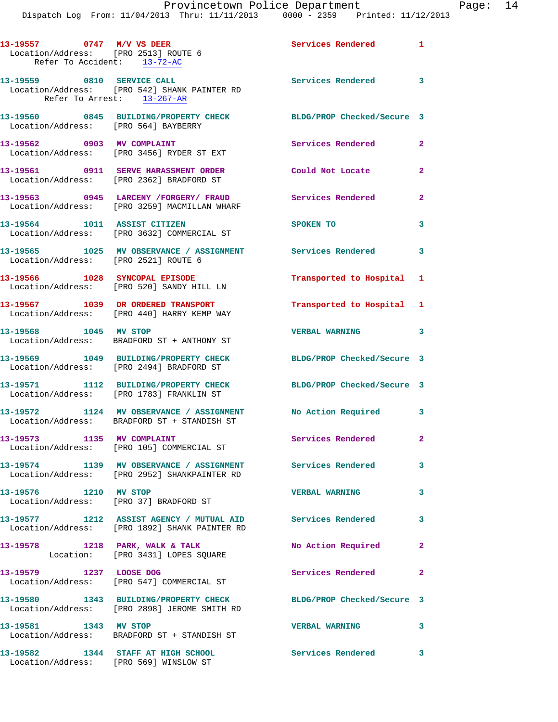**13-19557 0747 M/V VS DEER Services Rendered 1**  Location/Address: [PRO 2513] ROUTE 6 Refer To Accident: 13-72-AC **13-19559 0810 SERVICE CALL Services Rendered 3**  Location/Address: [PRO 542] SHANK PAINTER RD Refer To Arrest: 13-267-AR **13-19560 0845 BUILDING/PROPERTY CHECK BLDG/PROP Checked/Secure 3**  Location/Address: [PRO 564] BAYBERRY 13-19562 0903 MV COMPLAINT **Services Rendered** 2 Location/Address: [PRO 3456] RYDER ST EXT **13-19561 0911 SERVE HARASSMENT ORDER Could Not Locate 2**  Location/Address: [PRO 2362] BRADFORD ST **13-19563 0945 LARCENY /FORGERY/ FRAUD Services Rendered 2**  Location/Address: [PRO 3259] MACMILLAN WHARF **13-19564 1011 ASSIST CITIZEN SPOKEN TO 3**  Location/Address: [PRO 3632] COMMERCIAL ST **13-19565 1025 MV OBSERVANCE / ASSIGNMENT Services Rendered 3**  Location/Address: [PRO 2521] ROUTE 6 **13-19566 1028 SYNCOPAL EPISODE Transported to Hospital 1**  Location/Address: [PRO 520] SANDY HILL LN **13-19567 1039 DR ORDERED TRANSPORT Transported to Hospital 1**  Location/Address: [PRO 440] HARRY KEMP WAY **13-19568 1045 MV STOP VERBAL WARNING 3**  Location/Address: BRADFORD ST + ANTHONY ST **13-19569 1049 BUILDING/PROPERTY CHECK BLDG/PROP Checked/Secure 3**  Location/Address: [PRO 2494] BRADFORD ST **13-19571 1112 BUILDING/PROPERTY CHECK BLDG/PROP Checked/Secure 3**  Location/Address: [PRO 1783] FRANKLIN ST **13-19572 1124 MV OBSERVANCE / ASSIGNMENT No Action Required 3**  Location/Address: BRADFORD ST + STANDISH ST 13-19573 1135 MV COMPLAINT **1135 Services Rendered** 2 Location/Address: [PRO 105] COMMERCIAL ST **13-19574 1139 MV OBSERVANCE / ASSIGNMENT Services Rendered 3**  Location/Address: [PRO 2952] SHANKPAINTER RD **13-19576 1210 MV STOP VERBAL WARNING 3**  Location/Address: [PRO 37] BRADFORD ST **13-19577 1212 ASSIST AGENCY / MUTUAL AID Services Rendered 3**  Location/Address: [PRO 1892] SHANK PAINTER RD 13-19578 1218 PARK, WALK & TALK 120 No Action Required 2 Location: [PRO 3431] LOPES SQUARE **13-19579 1237 LOOSE DOG Services Rendered 2**  Location/Address: [PRO 547] COMMERCIAL ST **13-19580 1343 BUILDING/PROPERTY CHECK BLDG/PROP Checked/Secure 3**  Location/Address: [PRO 2898] JEROME SMITH RD **13-19581 1343 MV STOP VERBAL WARNING 3**  Location/Address: BRADFORD ST + STANDISH ST **13-19582 1344 STAFF AT HIGH SCHOOL Services Rendered 3**  Location/Address: [PRO 569] WINSLOW ST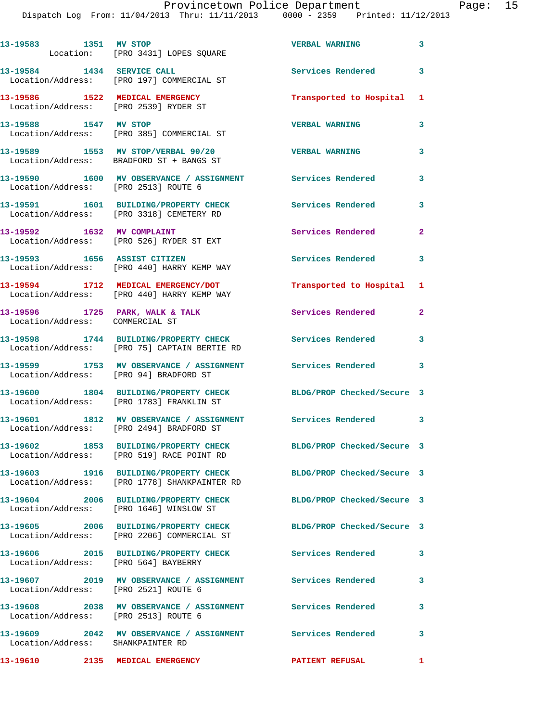Dispatch Log From: 11/04/2013 Thru: 11/11/2013 0

| : Department                       |   | Page |
|------------------------------------|---|------|
| $000 - 2359$ Printed: $11/12/2013$ |   |      |
|                                    |   |      |
|                                    |   |      |
| <b>VERBAL WARNING</b>              | 3 |      |
|                                    |   |      |
|                                    |   |      |
| Services Rendered                  | ٦ |      |
|                                    |   |      |
|                                    |   |      |

**13-19586 1522 MEDICAL EMERGENCY Transported to Hospital 1**  Location/Address: [PRO 2539] RYDER ST **13-19588 1547 MV STOP VERBAL WARNING 3** 

Location/Address: [PRO 197] COMMERCIAL ST

Location: [PRO 3431] LOPES SQUARE

Location/Address: [PRO 385] COMMERCIAL ST

**13-19589 1553 MV STOP/VERBAL 90/20 VERBAL WARNING 3**  Location/Address: BRADFORD ST + BANGS ST

**13-19583 1351 MV STOP** 

13-19584 **1434 SERVICE CALL** 

**13-19590 1600 MV OBSERVANCE / ASSIGNMENT Services Rendered 3**  Location/Address: [PRO 2513] ROUTE 6

**13-19591 1601 BUILDING/PROPERTY CHECK Services Rendered 3**  Location/Address: [PRO 3318] CEMETERY RD

13-19592 1632 MV COMPLAINT **15-19592** 1632 Services Rendered 2 Location/Address: [PRO 526] RYDER ST EXT

Location/Address: [PRO 440] HARRY KEMP WAY

Location/Address: [PRO 440] HARRY KEMP WAY

Location/Address: COMMERCIAL ST

**13-19608 2038 MV OBSERVANCE / ASSIGNMENT Services Rendered 3** 

**13-19610 2135 MEDICAL EMERGENCY PATIENT REFUSAL 1** 

**13-19593 1656 ASSIST CITIZEN Services Rendered 3** 

**13-19594 1712 MEDICAL EMERGENCY/DOT Transported to Hospital 1** 

**13-19596 1725 PARK, WALK & TALK Services Rendered 2** 

**13-19598 1744 BUILDING/PROPERTY CHECK Services Rendered 3**  Location/Address: [PRO 75] CAPTAIN BERTIE RD

**13-19599 1753 MV OBSERVANCE / ASSIGNMENT Services Rendered 3**  Location/Address: [PRO 94] BRADFORD ST

**13-19600 1804 BUILDING/PROPERTY CHECK BLDG/PROP Checked/Secure 3**  Location/Address: [PRO 1783] FRANKLIN ST

**13-19601 1812 MV OBSERVANCE / ASSIGNMENT Services Rendered 3**  Location/Address: [PRO 2494] BRADFORD ST

**13-19602 1853 BUILDING/PROPERTY CHECK BLDG/PROP Checked/Secure 3**  Location/Address: [PRO 519] RACE POINT RD

**13-19603 1916 BUILDING/PROPERTY CHECK BLDG/PROP Checked/Secure 3**  Location/Address: [PRO 1778] SHANKPAINTER RD

**13-19604 2006 BUILDING/PROPERTY CHECK BLDG/PROP Checked/Secure 3**  Location/Address: [PRO 1646] WINSLOW ST

**13-19605 2006 BUILDING/PROPERTY CHECK BLDG/PROP Checked/Secure 3**  Location/Address: [PRO 2206] COMMERCIAL ST

**13-19606 2015 BUILDING/PROPERTY CHECK Services Rendered 3**  Location/Address: [PRO 564] BAYBERRY

**13-19607 2019 MV OBSERVANCE / ASSIGNMENT Services Rendered 3**  Location/Address: [PRO 2521] ROUTE 6

Location/Address: [PRO 2513] ROUTE 6

**13-19609 2042 MV OBSERVANCE / ASSIGNMENT Services Rendered 3**  Location/Address: SHANKPAINTER RD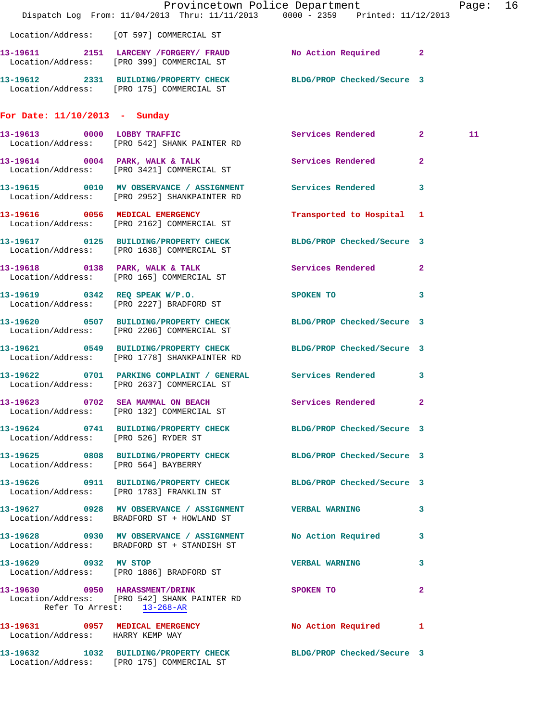|                                      | Dispatch Log From: 11/04/2013 Thru: 11/11/2013 0000 - 2359 Printed: 11/12/2013                                   | Provincetown Police Department | Page: 16       |
|--------------------------------------|------------------------------------------------------------------------------------------------------------------|--------------------------------|----------------|
|                                      | Location/Address: [OT 597] COMMERCIAL ST                                                                         |                                |                |
|                                      | 13-19611 2151 LARCENY / FORGERY / FRAUD No Action Required 2<br>Location/Address: [PRO 399] COMMERCIAL ST        |                                |                |
|                                      | 13-19612 2331 BUILDING/PROPERTY CHECK BLDG/PROP Checked/Secure 3<br>Location/Address: [PRO 175] COMMERCIAL ST    |                                |                |
| For Date: $11/10/2013$ - Sunday      |                                                                                                                  |                                |                |
|                                      | 13-19613 0000 LOBBY TRAFFIC<br>Location/Address: [PRO 542] SHANK PAINTER RD                                      | Services Rendered 2            | 11             |
|                                      | 13-19614 0004 PARK, WALK & TALK 3 Services Rendered 2<br>Location/Address: [PRO 3421] COMMERCIAL ST              |                                |                |
|                                      | 13-19615 0010 MV OBSERVANCE / ASSIGNMENT Services Rendered 3<br>Location/Address: [PRO 2952] SHANKPAINTER RD     |                                |                |
|                                      | 13-19616 0056 MEDICAL EMERGENCY<br>Location/Address: [PRO 2162] COMMERCIAL ST                                    | Transported to Hospital 1      |                |
|                                      | 13-19617 0125 BUILDING/PROPERTY CHECK BLDG/PROP Checked/Secure 3<br>Location/Address: [PRO 1638] COMMERCIAL ST   |                                |                |
|                                      | 13-19618 0138 PARK, WALK & TALK Services Rendered 2<br>Location/Address: [PRO 165] COMMERCIAL ST                 |                                |                |
|                                      | 13-19619 0342 REQ SPEAK W/P.O.<br>Location/Address: [PRO 2227] BRADFORD ST                                       | SPOKEN TO 3                    |                |
|                                      | 13-19620 0507 BUILDING/PROPERTY CHECK BLDG/PROP Checked/Secure 3<br>Location/Address: [PRO 2206] COMMERCIAL ST   |                                |                |
|                                      | 13-19621 0549 BUILDING/PROPERTY CHECK BLDG/PROP Checked/Secure 3<br>Location/Address: [PRO 1778] SHANKPAINTER RD |                                |                |
|                                      | 13-19622 0701 PARKING COMPLAINT / GENERAL Services Rendered 3<br>Location/Address: [PRO 2637] COMMERCIAL ST      |                                |                |
|                                      | 13-19623 0702 SEA MAMMAL ON BEACH Services Rendered 2<br>Location/Address: [PRO 132] COMMERCIAL ST               |                                |                |
|                                      | 13-19624 0741 BUILDING/PROPERTY CHECK BLDG/PROP Checked/Secure 3<br>Location/Address: [PRO 526] RYDER ST         |                                |                |
| Location/Address: [PRO 564] BAYBERRY | 13-19625 0808 BUILDING/PROPERTY CHECK BLDG/PROP Checked/Secure 3                                                 |                                |                |
|                                      | 13-19626 0911 BUILDING/PROPERTY CHECK BLDG/PROP Checked/Secure 3<br>Location/Address: [PRO 1783] FRANKLIN ST     |                                |                |
|                                      | 13-19627 0928 MV OBSERVANCE / ASSIGNMENT VERBAL WARNING<br>Location/Address: BRADFORD ST + HOWLAND ST            | 3                              |                |
|                                      | 13-19628 0930 MV OBSERVANCE / ASSIGNMENT No Action Required 3<br>Location/Address: BRADFORD ST + STANDISH ST     |                                |                |
| 13-19629 0932 MV STOP                | Location/Address: [PRO 1886] BRADFORD ST                                                                         | VERBAL WARNING 3               |                |
| Refer To Arrest: 13-268-AR           | 13-19630 0950 HARASSMENT/DRINK<br>Location/Address: [PRO 542] SHANK PAINTER RD                                   | SPOKEN TO                      | $\overline{2}$ |
| Location/Address: HARRY KEMP WAY     | 13-19631 0957 MEDICAL EMERGENCY No Action Required 1                                                             |                                |                |
|                                      | 13-19632 1032 BUILDING/PROPERTY CHECK BLDG/PROP Checked/Secure 3<br>Location/Address: [PRO 175] COMMERCIAL ST    |                                |                |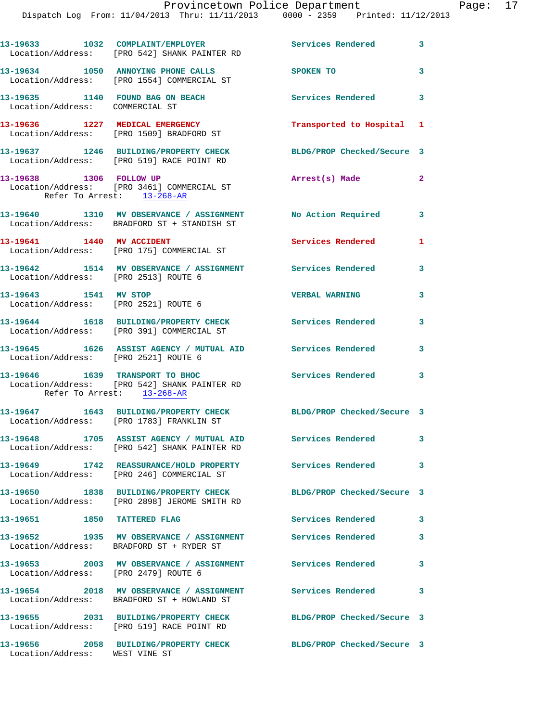Dispatch Log From: 11/04/2013 Thru: 11/11/2013 0000 - 2359 Printed: 11/12/2013

|                                 | 13-19633 1032 COMPLAINT/EMPLOYER<br>Location/Address: [PRO 542] SHANK PAINTER RD                              | Services Rendered 3        |              |
|---------------------------------|---------------------------------------------------------------------------------------------------------------|----------------------------|--------------|
|                                 | 13-19634 1050 ANNOYING PHONE CALLS<br>Location/Address: [PRO 1554] COMMERCIAL ST                              | <b>SPOKEN TO</b>           | 3            |
| Location/Address: COMMERCIAL ST | 13-19635 1140 FOUND BAG ON BEACH                                                                              | <b>Services Rendered</b>   | 3            |
|                                 | 13-19636 1227 MEDICAL EMERGENCY<br>Location/Address: [PRO 1509] BRADFORD ST                                   | Transported to Hospital 1  |              |
|                                 | 13-19637 1246 BUILDING/PROPERTY CHECK<br>Location/Address: [PRO 519] RACE POINT RD                            | BLDG/PROP Checked/Secure 3 |              |
| 13-19638 1306 FOLLOW UP         | Location/Address: [PRO 3461] COMMERCIAL ST<br>Refer To Arrest: 13-268-AR                                      | Arrest(s) Made             | $\mathbf{2}$ |
|                                 | 13-19640 1310 MV OBSERVANCE / ASSIGNMENT No Action Required 3<br>Location/Address: BRADFORD ST + STANDISH ST  |                            |              |
| 13-19641 1440 MV ACCIDENT       | Location/Address: [PRO 175] COMMERCIAL ST                                                                     | Services Rendered          | $\mathbf{1}$ |
|                                 | 13-19642 1514 MV OBSERVANCE / ASSIGNMENT Services Rendered<br>Location/Address: [PRO 2513] ROUTE 6            |                            | 3            |
| 13-19643 1541 MV STOP           | Location/Address: [PRO 2521] ROUTE 6                                                                          | <b>VERBAL WARNING</b>      | 3            |
|                                 | 13-19644 1618 BUILDING/PROPERTY CHECK<br>Location/Address: [PRO 391] COMMERCIAL ST                            | Services Rendered          | 3            |
|                                 | 13-19645 1626 ASSIST AGENCY / MUTUAL AID Services Rendered<br>Location/Address: [PRO 2521] ROUTE 6            |                            | 3            |
|                                 | 13-19646 1639 TRANSPORT TO BHOC<br>Location/Address: [PRO 542] SHANK PAINTER RD<br>Refer To Arrest: 13-268-AR | Services Rendered 3        |              |
|                                 | 13-19647 1643 BUILDING/PROPERTY CHECK BLDG/PROP Checked/Secure 3<br>Location/Address: [PRO 1783] FRANKLIN ST  |                            |              |
|                                 | 13-19648 1705 ASSIST AGENCY / MUTUAL AID<br>Location/Address: [PRO 542] SHANK PAINTER RD                      | Services Rendered          |              |
|                                 | 13-19649 1742 REASSURANCE/HOLD PROPERTY Services Rendered<br>Location/Address: [PRO 246] COMMERCIAL ST        |                            | 3            |
|                                 | 13-19650 1838 BUILDING/PROPERTY CHECK<br>Location/Address: [PRO 2898] JEROME SMITH RD                         | BLDG/PROP Checked/Secure 3 |              |
|                                 | 13-19651 1850 TATTERED FLAG                                                                                   | <b>Services Rendered</b>   | 3            |
|                                 | 13-19652 1935 MV OBSERVANCE / ASSIGNMENT Services Rendered<br>Location/Address: BRADFORD ST + RYDER ST        |                            | 3            |
|                                 | 13-19653 2003 MV OBSERVANCE / ASSIGNMENT Services Rendered<br>Location/Address: [PRO 2479] ROUTE 6            |                            | 3            |
|                                 | 13-19654 2018 MV OBSERVANCE / ASSIGNMENT<br>Location/Address: BRADFORD ST + HOWLAND ST                        | <b>Services Rendered</b>   | 3            |
|                                 | 13-19655 2031 BUILDING/PROPERTY CHECK<br>Location/Address: [PRO 519] RACE POINT RD                            | BLDG/PROP Checked/Secure 3 |              |
| Location/Address: WEST VINE ST  | 13-19656 2058 BUILDING/PROPERTY CHECK                                                                         | BLDG/PROP Checked/Secure 3 |              |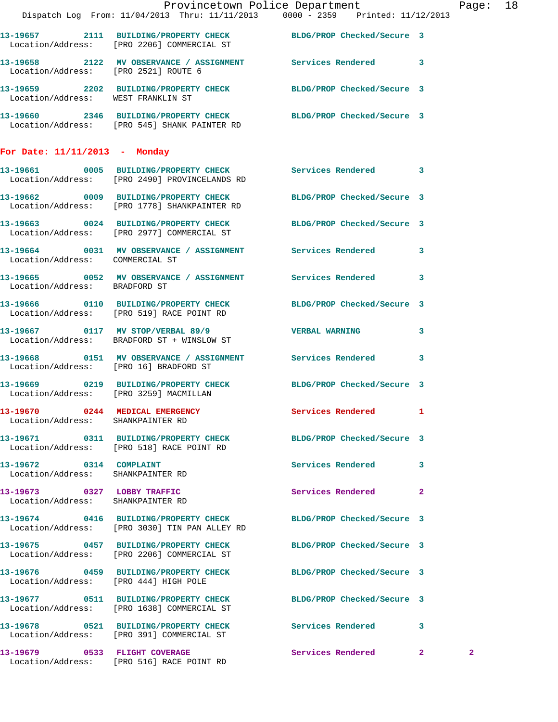|                                                                  | Provincetown Police Department                                                                                    |                            |              | Page: 18     |  |
|------------------------------------------------------------------|-------------------------------------------------------------------------------------------------------------------|----------------------------|--------------|--------------|--|
|                                                                  | Dispatch Log From: 11/04/2013 Thru: 11/11/2013 0000 - 2359 Printed: 11/12/2013                                    |                            |              |              |  |
|                                                                  | 13-19657 2111 BUILDING/PROPERTY CHECK BLDG/PROP Checked/Secure 3<br>Location/Address: [PRO 2206] COMMERCIAL ST    |                            |              |              |  |
| Location/Address: [PRO 2521] ROUTE 6                             | 13-19658 2122 MV OBSERVANCE / ASSIGNMENT Services Rendered 3                                                      |                            |              |              |  |
| Location/Address: WEST FRANKLIN ST                               | 13-19659 2202 BUILDING/PROPERTY CHECK BLDG/PROP Checked/Secure 3                                                  |                            |              |              |  |
|                                                                  | 13-19660 2346 BUILDING/PROPERTY CHECK BLDG/PROP Checked/Secure 3<br>Location/Address: [PRO 545] SHANK PAINTER RD  |                            |              |              |  |
| For Date: $11/11/2013$ - Monday                                  |                                                                                                                   |                            |              |              |  |
|                                                                  | 13-19661 0005 BUILDING/PROPERTY CHECK Services Rendered 3<br>Location/Address: [PRO 2490] PROVINCELANDS RD        |                            |              |              |  |
|                                                                  | 13-19662 0009 BUILDING/PROPERTY CHECK BLDG/PROP Checked/Secure 3<br>Location/Address: [PRO 1778] SHANKPAINTER RD  |                            |              |              |  |
|                                                                  | 13-19663 0024 BUILDING/PROPERTY CHECK BLDG/PROP Checked/Secure 3<br>Location/Address: [PRO 2977] COMMERCIAL ST    |                            |              |              |  |
| Location/Address: COMMERCIAL ST                                  | 13-19664 0031 MV OBSERVANCE / ASSIGNMENT Services Rendered 3                                                      |                            |              |              |  |
| Location/Address: BRADFORD ST                                    | 13-19665 0052 MV OBSERVANCE / ASSIGNMENT Services Rendered 3                                                      |                            |              |              |  |
|                                                                  | 13-19666 0110 BUILDING/PROPERTY CHECK<br>Location/Address: [PRO 519] RACE POINT RD                                | BLDG/PROP Checked/Secure 3 |              |              |  |
|                                                                  | 13-19667 0117 MV STOP/VERBAL 89/9 VERBAL WARNING 3<br>Location/Address: BRADFORD ST + WINSLOW ST                  |                            |              |              |  |
|                                                                  | 13-19668 0151 MV OBSERVANCE / ASSIGNMENT Services Rendered 3<br>Location/Address: [PRO 16] BRADFORD ST            |                            |              |              |  |
| Location/Address: [PRO 3259] MACMILLAN                           | 13-19669 0219 BUILDING/PROPERTY CHECK BLDG/PROP Checked/Secure 3                                                  |                            |              |              |  |
| Location/Address: SHANKPAINTER RD                                | 13-19670 0244 MEDICAL EMERGENCY                                                                                   | Services Rendered 1        |              |              |  |
|                                                                  | 13-19671 0311 BUILDING/PROPERTY CHECK BLDG/PROP Checked/Secure 3<br>Location/Address: [PRO 518] RACE POINT RD     |                            |              |              |  |
| 13-19672 0314 COMPLAINT<br>Location/Address: SHANKPAINTER RD     |                                                                                                                   | Services Rendered 3        |              |              |  |
| 13-19673 0327 LOBBY TRAFFIC<br>Location/Address: SHANKPAINTER RD |                                                                                                                   | Services Rendered          | $\mathbf{2}$ |              |  |
|                                                                  | 13-19674 0416 BUILDING/PROPERTY CHECK BLDG/PROP Checked/Secure 3<br>Location/Address: [PRO 3030] TIN PAN ALLEY RD |                            |              |              |  |
|                                                                  | 13-19675 0457 BUILDING/PROPERTY CHECK BLDG/PROP Checked/Secure 3<br>Location/Address: [PRO 2206] COMMERCIAL ST    |                            |              |              |  |
| Location/Address: [PRO 444] HIGH POLE                            | 13-19676 0459 BUILDING/PROPERTY CHECK BLDG/PROP Checked/Secure 3                                                  |                            |              |              |  |
|                                                                  | 13-19677 0511 BUILDING/PROPERTY CHECK BLDG/PROP Checked/Secure 3<br>Location/Address: [PRO 1638] COMMERCIAL ST    |                            |              |              |  |
|                                                                  | 13-19678 0521 BUILDING/PROPERTY CHECK Services Rendered 3<br>Location/Address: [PRO 391] COMMERCIAL ST            |                            |              |              |  |
| 13-19679 0533 FLIGHT COVERAGE                                    |                                                                                                                   | Services Rendered 2        |              | $\mathbf{2}$ |  |

Location/Address: [PRO 516] RACE POINT RD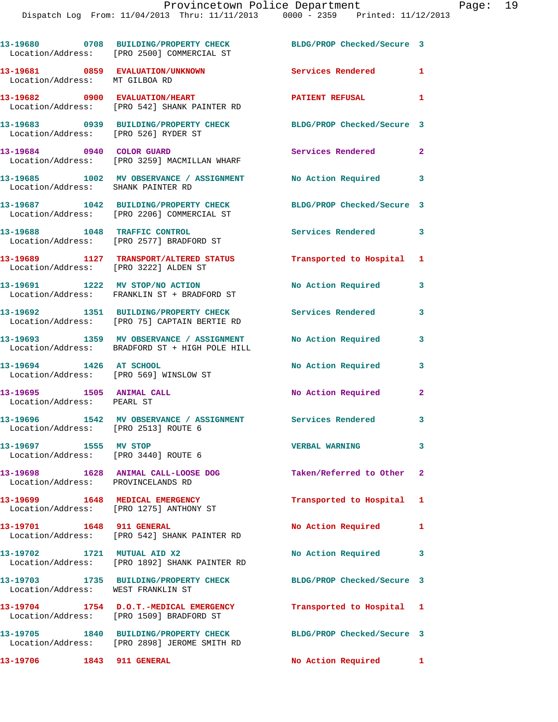|                                                                    | 13-19680 0708 BUILDING/PROPERTY CHECK<br>Location/Address: [PRO 2500] COMMERCIAL ST        | BLDG/PROP Checked/Secure 3 |                |
|--------------------------------------------------------------------|--------------------------------------------------------------------------------------------|----------------------------|----------------|
| 13-19681 0859 EVALUATION/UNKNOWN<br>Location/Address: MT GILBOA RD |                                                                                            | Services Rendered 1        |                |
|                                                                    | 13-19682 0900 EVALUATION/HEART<br>Location/Address: [PRO 542] SHANK PAINTER RD             | <b>PATIENT REFUSAL</b>     | $\mathbf{1}$   |
| Location/Address: [PRO 526] RYDER ST                               | 13-19683 0939 BUILDING/PROPERTY CHECK                                                      | BLDG/PROP Checked/Secure 3 |                |
| 13-19684 0940 COLOR GUARD                                          | Location/Address: [PRO 3259] MACMILLAN WHARF                                               | Services Rendered          | $\overline{2}$ |
| Location/Address: SHANK PAINTER RD                                 | 13-19685 1002 MV OBSERVANCE / ASSIGNMENT No Action Required                                |                            | 3              |
|                                                                    | 13-19687 1042 BUILDING/PROPERTY CHECK<br>Location/Address: [PRO 2206] COMMERCIAL ST        | BLDG/PROP Checked/Secure 3 |                |
|                                                                    | 13-19688 1048 TRAFFIC CONTROL<br>Location/Address: [PRO 2577] BRADFORD ST                  | <b>Services Rendered</b>   | $\mathbf{3}$   |
| Location/Address: [PRO 3222] ALDEN ST                              | 13-19689 1127 TRANSPORT/ALTERED STATUS                                                     | Transported to Hospital 1  |                |
|                                                                    | 13-19691 1222 MV STOP/NO ACTION<br>Location/Address: FRANKLIN ST + BRADFORD ST             | No Action Required         | 3              |
|                                                                    | 13-19692 1351 BUILDING/PROPERTY CHECK<br>Location/Address: [PRO 75] CAPTAIN BERTIE RD      | Services Rendered          | 3              |
|                                                                    | 13-19693 1359 MV OBSERVANCE / ASSIGNMENT<br>Location/Address: BRADFORD ST + HIGH POLE HILL | No Action Required         | 3              |
| 13-19694 1426 AT SCHOOL                                            | Location/Address: [PRO 569] WINSLOW ST                                                     | <b>No Action Required</b>  | 3              |
| 13-19695 1505 ANIMAL CALL<br>Location/Address: PEARL ST            |                                                                                            | No Action Required         | $\mathbf{2}$   |
| Location/Address: [PRO 2513] ROUTE 6                               | 13-19696 1542 MV OBSERVANCE / ASSIGNMENT Services Rendered                                 |                            | 3              |
| 13-19697 1555 MV STOP<br>Location/Address: [PRO 3440] ROUTE 6      |                                                                                            | <b>VERBAL WARNING</b>      | 3              |
| Location/Address: PROVINCELANDS RD                                 | 13-19698 1628 ANIMAL CALL-LOOSE DOG                                                        | Taken/Referred to Other 2  |                |
|                                                                    | 13-19699 1648 MEDICAL EMERGENCY<br>Location/Address: [PRO 1275] ANTHONY ST                 | Transported to Hospital 1  |                |
| 13-19701 1648 911 GENERAL                                          | Location/Address: [PRO 542] SHANK PAINTER RD                                               | No Action Required 1       |                |
| 13-19702 1721 MUTUAL AID X2                                        | Location/Address: [PRO 1892] SHANK PAINTER RD                                              | No Action Required         | 3              |
| Location/Address: WEST FRANKLIN ST                                 | 13-19703 1735 BUILDING/PROPERTY CHECK                                                      | BLDG/PROP Checked/Secure 3 |                |
|                                                                    | 13-19704 1754 D.O.T.-MEDICAL EMERGENCY<br>Location/Address: [PRO 1509] BRADFORD ST         | Transported to Hospital 1  |                |
|                                                                    | 13-19705 1840 BUILDING/PROPERTY CHECK<br>Location/Address: [PRO 2898] JEROME SMITH RD      | BLDG/PROP Checked/Secure 3 |                |
| 13-19706                                                           | <b>1843 911 GENERAL</b>                                                                    | No Action Required         | 1              |